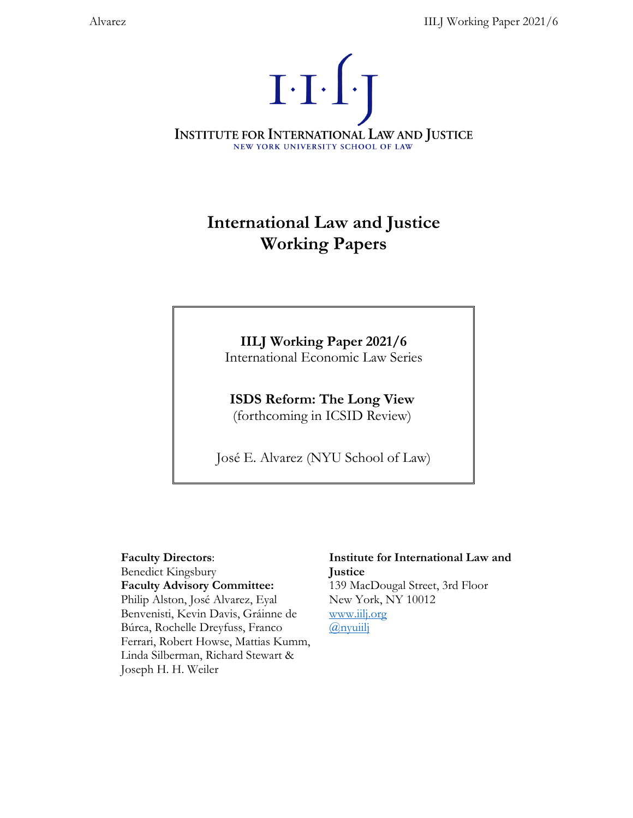

# **International Law and Justice Working Papers**

## **IILJ Working Paper 2021/6**

International Economic Law Series

**ISDS Reform: The Long View**  (forthcoming in ICSID Review)

José E. Alvarez (NYU School of Law)

### **Faculty Directors**:

Benedict Kingsbury

**Faculty Advisory Committee:** Philip Alston, José Alvarez, Eyal Benvenisti, Kevin Davis, Gráinne de

Búrca, Rochelle Dreyfuss, Franco Ferrari, Robert Howse, Mattias Kumm, Linda Silberman, Richard Stewart & Joseph H. H. Weiler

### **Institute for International Law and Justice**  139 MacDougal Street, 3rd Floor New York, NY 10012

[www.iilj.org](http://www.iilj.org/) [@nyuiilj](https://twitter.com/nyuiilj)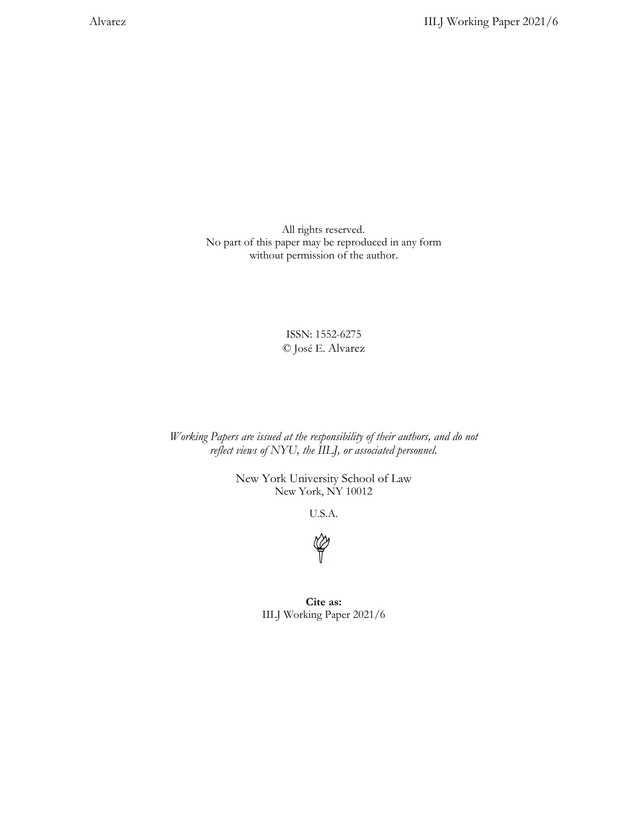All rights reserved. No part of this paper may be reproduced in any form without permission of the author.

> ISSN: 1552-6275 © José E. Alvarez

*Working Papers are issued at the responsibility of their authors, and do not reflect views of NYU, the IILJ, or associated personnel.* 

> New York University School of Law New York, NY 10012

> > U.S.A.



**Cite as:** IILJ Working Paper 2021/6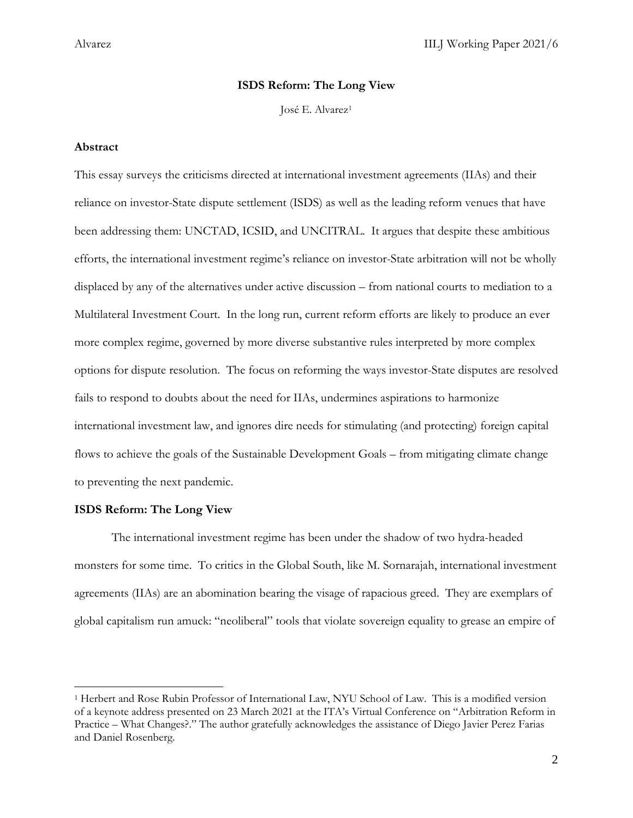### **ISDS Reform: The Long View**

José E. Alvarez[1](#page-2-0)

### **Abstract**

This essay surveys the criticisms directed at international investment agreements (IIAs) and their reliance on investor-State dispute settlement (ISDS) as well as the leading reform venues that have been addressing them: UNCTAD, ICSID, and UNCITRAL. It argues that despite these ambitious efforts, the international investment regime's reliance on investor-State arbitration will not be wholly displaced by any of the alternatives under active discussion – from national courts to mediation to a Multilateral Investment Court. In the long run, current reform efforts are likely to produce an ever more complex regime, governed by more diverse substantive rules interpreted by more complex options for dispute resolution. The focus on reforming the ways investor-State disputes are resolved fails to respond to doubts about the need for IIAs, undermines aspirations to harmonize international investment law, and ignores dire needs for stimulating (and protecting) foreign capital flows to achieve the goals of the Sustainable Development Goals – from mitigating climate change to preventing the next pandemic.

### **ISDS Reform: The Long View**

 $\overline{\phantom{a}}$ 

The international investment regime has been under the shadow of two hydra-headed monsters for some time. To critics in the Global South, like M. Sornarajah, international investment agreements (IIAs) are an abomination bearing the visage of rapacious greed. They are exemplars of global capitalism run amuck: "neoliberal" tools that violate sovereign equality to grease an empire of

<span id="page-2-0"></span><sup>1</sup> Herbert and Rose Rubin Professor of International Law, NYU School of Law. This is a modified version of a keynote address presented on 23 March 2021 at the ITA's Virtual Conference on "Arbitration Reform in Practice – What Changes?." The author gratefully acknowledges the assistance of Diego Javier Perez Farias and Daniel Rosenberg.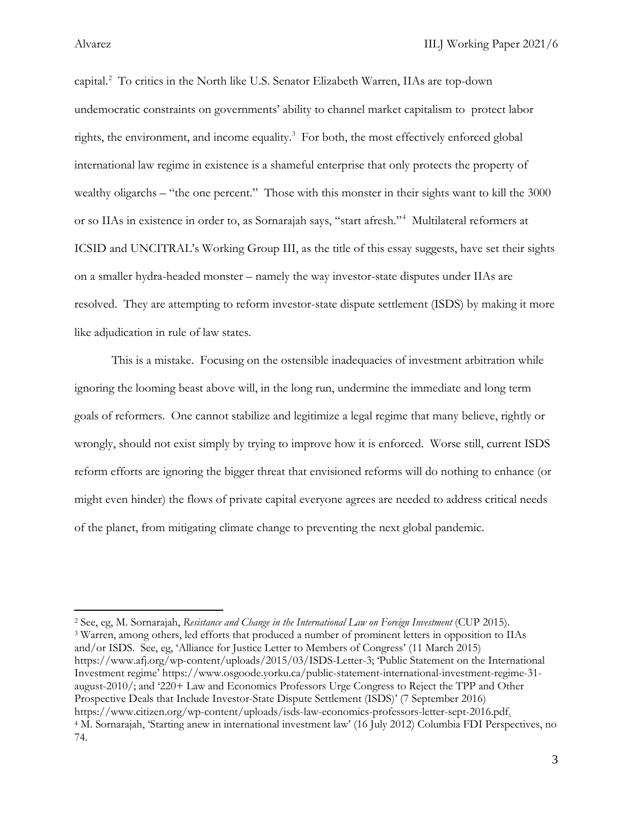capital.<sup>[2](#page-3-0)</sup> To critics in the North like U.S. Senator Elizabeth Warren, IIAs are top-down undemocratic constraints on governments' ability to channel market capitalism to protect labor rights, the environment, and income equality. $3$  For both, the most effectively enforced global international law regime in existence is a shameful enterprise that only protects the property of wealthy oligarchs – "the one percent." Those with this monster in their sights want to kill the 3000 or so IIAs in existence in order to, as Sornarajah says, "start afresh."[4](#page-3-2) Multilateral reformers at ICSID and UNCITRAL's Working Group III, as the title of this essay suggests, have set their sights on a smaller hydra-headed monster – namely the way investor-state disputes under IIAs are resolved. They are attempting to reform investor-state dispute settlement (ISDS) by making it more like adjudication in rule of law states.

This is a mistake. Focusing on the ostensible inadequacies of investment arbitration while ignoring the looming beast above will, in the long run, undermine the immediate and long term goals of reformers. One cannot stabilize and legitimize a legal regime that many believe, rightly or wrongly, should not exist simply by trying to improve how it is enforced. Worse still, current ISDS reform efforts are ignoring the bigger threat that envisioned reforms will do nothing to enhance (or might even hinder) the flows of private capital everyone agrees are needed to address critical needs of the planet, from mitigating climate change to preventing the next global pandemic.

<span id="page-3-2"></span><span id="page-3-1"></span><span id="page-3-0"></span><sup>2</sup> See, eg, M. Sornarajah, *Resistance and Change in the International Law on Foreign Investment* (CUP 2015). <sup>3</sup> Warren, among others, led efforts that produced a number of prominent letters in opposition to IIAs and/or ISDS. See, eg, 'Alliance for Justice Letter to Members of Congress' (11 March 2015) https://www.afj.org/wp-content/uploads/2015/03/ISDS-Letter-3; 'Public Statement on the International Investment regime' https://www.osgoode.yorku.ca/public-statement-international-investment-regime-31 august-2010/; and '220+ Law and Economics Professors Urge Congress to Reject the TPP and Other Prospective Deals that Include Investor-State Dispute Settlement (ISDS)' (7 September 2016) https://www.citizen.org/wp-content/uploads/isds-law-economics-professors-letter-sept-2016.pdf. <sup>4</sup> M. Sornarajah, 'Starting anew in international investment law' (16 July 2012) Columbia FDI Perspectives, no 74.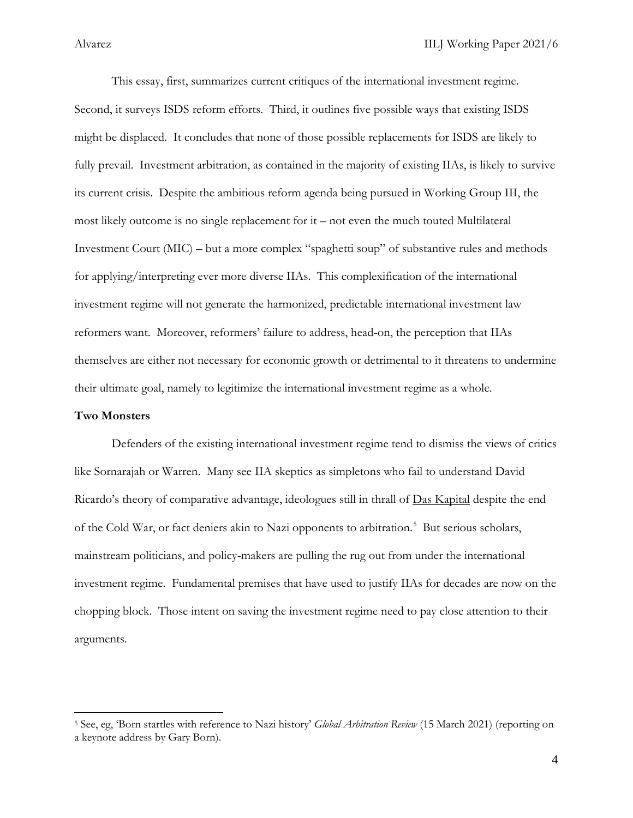This essay, first, summarizes current critiques of the international investment regime. Second, it surveys ISDS reform efforts. Third, it outlines five possible ways that existing ISDS might be displaced. It concludes that none of those possible replacements for ISDS are likely to fully prevail. Investment arbitration, as contained in the majority of existing IIAs, is likely to survive its current crisis. Despite the ambitious reform agenda being pursued in Working Group III, the most likely outcome is no single replacement for it – not even the much touted Multilateral Investment Court (MIC) – but a more complex "spaghetti soup" of substantive rules and methods for applying/interpreting ever more diverse IIAs. This complexification of the international investment regime will not generate the harmonized, predictable international investment law reformers want. Moreover, reformers' failure to address, head-on, the perception that IIAs themselves are either not necessary for economic growth or detrimental to it threatens to undermine their ultimate goal, namely to legitimize the international investment regime as a whole.

### **Two Monsters**

 $\overline{\phantom{a}}$ 

Defenders of the existing international investment regime tend to dismiss the views of critics like Sornarajah or Warren. Many see IIA skeptics as simpletons who fail to understand David Ricardo's theory of comparative advantage, ideologues still in thrall of Das Kapital despite the end of the Cold War, or fact deniers akin to Nazi opponents to arbitration.<sup>[5](#page-4-0)</sup> But serious scholars, mainstream politicians, and policy-makers are pulling the rug out from under the international investment regime. Fundamental premises that have used to justify IIAs for decades are now on the chopping block. Those intent on saving the investment regime need to pay close attention to their arguments.

<span id="page-4-0"></span><sup>5</sup> See, eg, 'Born startles with reference to Nazi history' *Global Arbitration Review* (15 March 2021) (reporting on a keynote address by Gary Born).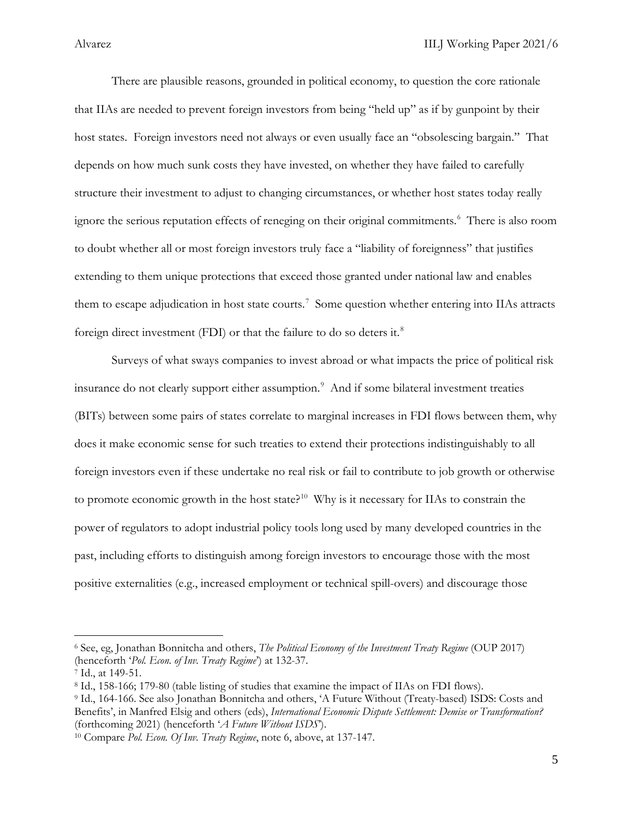There are plausible reasons, grounded in political economy, to question the core rationale that IIAs are needed to prevent foreign investors from being "held up" as if by gunpoint by their host states. Foreign investors need not always or even usually face an "obsolescing bargain." That depends on how much sunk costs they have invested, on whether they have failed to carefully structure their investment to adjust to changing circumstances, or whether host states today really ignore the serious reputation effects of reneging on their original commitments.[6](#page-5-0) There is also room to doubt whether all or most foreign investors truly face a "liability of foreignness" that justifies extending to them unique protections that exceed those granted under national law and enables them to escape adjudication in host state courts.<sup>[7](#page-5-1)</sup> Some question whether entering into IIAs attracts foreign direct investment (FDI) or that the failure to do so deters it. $8$ 

Surveys of what sways companies to invest abroad or what impacts the price of political risk insurance do not clearly support either assumption.<sup>[9](#page-5-3)</sup> And if some bilateral investment treaties (BITs) between some pairs of states correlate to marginal increases in FDI flows between them, why does it make economic sense for such treaties to extend their protections indistinguishably to all foreign investors even if these undertake no real risk or fail to contribute to job growth or otherwise to promote economic growth in the host state?<sup>[10](#page-5-4)</sup> Why is it necessary for IIAs to constrain the power of regulators to adopt industrial policy tools long used by many developed countries in the past, including efforts to distinguish among foreign investors to encourage those with the most positive externalities (e.g., increased employment or technical spill-overs) and discourage those

<span id="page-5-0"></span><sup>6</sup> See, eg, Jonathan Bonnitcha and others, *The Political Economy of the Investment Treaty Regime* (OUP 2017) (henceforth '*Pol. Econ. of Inv. Treaty Regime*') at 132-37.

<span id="page-5-1"></span><sup>7</sup> Id., at 149-51.

<span id="page-5-2"></span><sup>8</sup> Id., 158-166; 179-80 (table listing of studies that examine the impact of IIAs on FDI flows).

<span id="page-5-3"></span><sup>9</sup> Id., 164-166. See also Jonathan Bonnitcha and others, 'A Future Without (Treaty-based) ISDS: Costs and Benefits', in Manfred Elsig and others (eds), *International Economic Dispute Settlement: Demise or Transformation?* (forthcoming 2021) (henceforth '*A Future Without ISDS*').

<span id="page-5-4"></span><sup>10</sup> Compare *Pol. Econ. Of Inv. Treaty Regime*, note 6, above, at 137-147.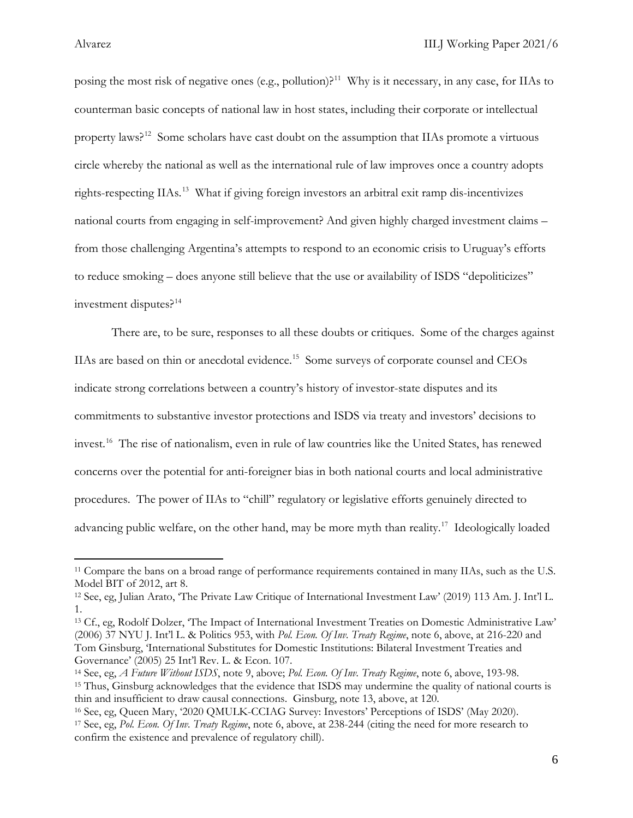posing the most risk of negative ones (e.g., pollution)?<sup>[11](#page-6-0)</sup> Why is it necessary, in any case, for IIAs to counterman basic concepts of national law in host states, including their corporate or intellectual property laws?<sup>[12](#page-6-1)</sup> Some scholars have cast doubt on the assumption that IIAs promote a virtuous circle whereby the national as well as the international rule of law improves once a country adopts rights-respecting IIAs.<sup>13</sup> What if giving foreign investors an arbitral exit ramp dis-incentivizes national courts from engaging in self-improvement? And given highly charged investment claims – from those challenging Argentina's attempts to respond to an economic crisis to Uruguay's efforts to reduce smoking – does anyone still believe that the use or availability of ISDS "depoliticizes" investment disputes? $14$ 

There are, to be sure, responses to all these doubts or critiques. Some of the charges against IIAs are based on thin or anecdotal evidence.<sup>[15](#page-6-4)</sup> Some surveys of corporate counsel and CEOs indicate strong correlations between a country's history of investor-state disputes and its commitments to substantive investor protections and ISDS via treaty and investors' decisions to invest.[16](#page-6-5) The rise of nationalism, even in rule of law countries like the United States, has renewed concerns over the potential for anti-foreigner bias in both national courts and local administrative procedures. The power of IIAs to "chill" regulatory or legislative efforts genuinely directed to advancing public welfare, on the other hand, may be more myth than reality.<sup>[17](#page-6-6)</sup> Ideologically loaded

<span id="page-6-0"></span><sup>11</sup> Compare the bans on a broad range of performance requirements contained in many IIAs, such as the U.S. Model BIT of 2012, art 8.

<span id="page-6-1"></span><sup>12</sup> See, eg, Julian Arato, 'The Private Law Critique of International Investment Law' (2019) 113 Am. J. Int'l L. 1.

<span id="page-6-2"></span><sup>13</sup> Cf., eg, Rodolf Dolzer, 'The Impact of International Investment Treaties on Domestic Administrative Law' (2006) 37 NYU J. Int'l L. & Politics 953, with *Pol. Econ. Of Inv. Treaty Regime*, note 6, above, at 216-220 and Tom Ginsburg, 'International Substitutes for Domestic Institutions: Bilateral Investment Treaties and Governance' (2005) 25 Int'l Rev. L. & Econ. 107.

<span id="page-6-4"></span><span id="page-6-3"></span><sup>14</sup> See, eg, *A Future Without ISDS*, note 9, above; *Pol. Econ. Of Inv. Treaty Regime*, note 6, above, 193-98. <sup>15</sup> Thus, Ginsburg acknowledges that the evidence that ISDS may undermine the quality of national courts is thin and insufficient to draw causal connections. Ginsburg, note 13, above, at 120.<br><sup>16</sup> See, eg, Queen Mary, '2020 QMULK-CCIAG Survey: Investors' Perceptions of ISDS' (May 2020).

<span id="page-6-6"></span><span id="page-6-5"></span><sup>&</sup>lt;sup>17</sup> See, eg, Pol. Econ. Of Inv. Treaty Regime, note 6, above, at 238-244 (citing the need for more research to confirm the existence and prevalence of regulatory chill).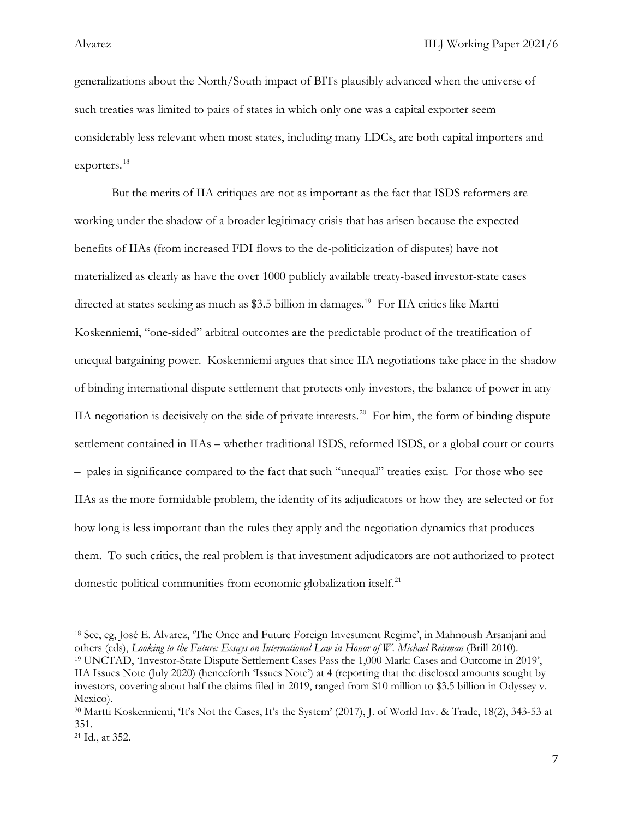generalizations about the North/South impact of BITs plausibly advanced when the universe of such treaties was limited to pairs of states in which only one was a capital exporter seem considerably less relevant when most states, including many LDCs, are both capital importers and exporters.[18](#page-7-0)

But the merits of IIA critiques are not as important as the fact that ISDS reformers are working under the shadow of a broader legitimacy crisis that has arisen because the expected benefits of IIAs (from increased FDI flows to the de-politicization of disputes) have not materialized as clearly as have the over 1000 publicly available treaty-based investor-state cases directed at states seeking as much as \$3.5 billion in damages. [19](#page-7-1) For IIA critics like Martti Koskenniemi, "one-sided" arbitral outcomes are the predictable product of the treatification of unequal bargaining power. Koskenniemi argues that since IIA negotiations take place in the shadow of binding international dispute settlement that protects only investors, the balance of power in any IIA negotiation is decisively on the side of private interests. [20](#page-7-2) For him, the form of binding dispute settlement contained in IIAs – whether traditional ISDS, reformed ISDS, or a global court or courts – pales in significance compared to the fact that such "unequal" treaties exist. For those who see IIAs as the more formidable problem, the identity of its adjudicators or how they are selected or for how long is less important than the rules they apply and the negotiation dynamics that produces them. To such critics, the real problem is that investment adjudicators are not authorized to protect domestic political communities from economic globalization itself.<sup>[21](#page-7-3)</sup>

<span id="page-7-0"></span><sup>18</sup> See, eg, José E. Alvarez, 'The Once and Future Foreign Investment Regime', in Mahnoush Arsanjani and others (eds), *Looking to the Future: Essays on International Law in Honor of W. Michael Reisman* (Brill 2010). <sup>19</sup> UNCTAD, 'Investor-State Dispute Settlement Cases Pass the 1,000 Mark: Cases and Outcome in 2019',

<span id="page-7-1"></span>IIA Issues Note (July 2020) (henceforth 'Issues Note') at 4 (reporting that the disclosed amounts sought by investors, covering about half the claims filed in 2019, ranged from \$10 million to \$3.5 billion in Odyssey v. Mexico).

<span id="page-7-2"></span><sup>20</sup> Martti Koskenniemi, 'It's Not the Cases, It's the System' (2017), J. of World Inv. & Trade, 18(2), 343-53 at 351.

<span id="page-7-3"></span><sup>21</sup> Id., at 352.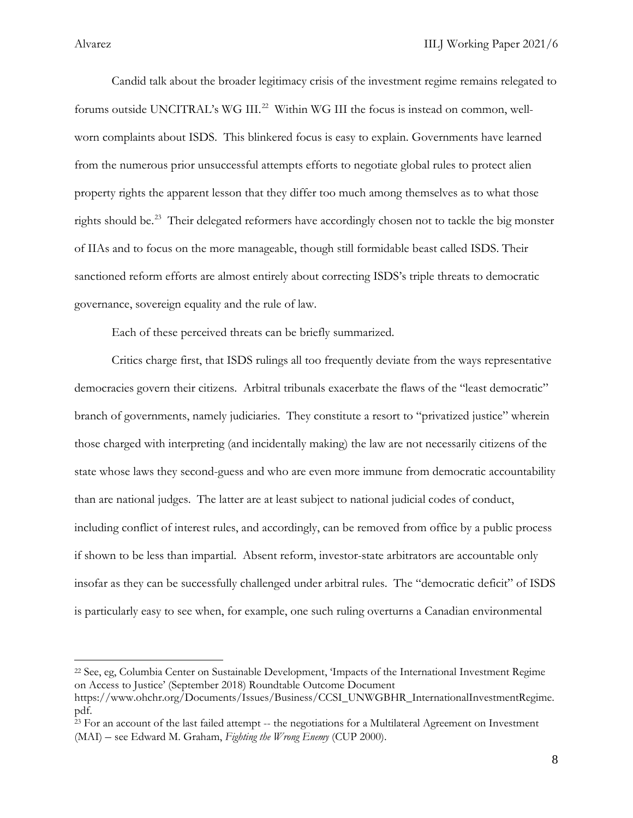Candid talk about the broader legitimacy crisis of the investment regime remains relegated to forums outside UNCITRAL's WG III.<sup>22</sup> Within WG III the focus is instead on common, wellworn complaints about ISDS. This blinkered focus is easy to explain. Governments have learned from the numerous prior unsuccessful attempts efforts to negotiate global rules to protect alien property rights the apparent lesson that they differ too much among themselves as to what those rights should be.<sup>[23](#page-8-1)</sup> Their delegated reformers have accordingly chosen not to tackle the big monster of IIAs and to focus on the more manageable, though still formidable beast called ISDS. Their sanctioned reform efforts are almost entirely about correcting ISDS's triple threats to democratic governance, sovereign equality and the rule of law.

Each of these perceived threats can be briefly summarized.

Critics charge first, that ISDS rulings all too frequently deviate from the ways representative democracies govern their citizens. Arbitral tribunals exacerbate the flaws of the "least democratic" branch of governments, namely judiciaries. They constitute a resort to "privatized justice" wherein those charged with interpreting (and incidentally making) the law are not necessarily citizens of the state whose laws they second-guess and who are even more immune from democratic accountability than are national judges. The latter are at least subject to national judicial codes of conduct, including conflict of interest rules, and accordingly, can be removed from office by a public process if shown to be less than impartial. Absent reform, investor-state arbitrators are accountable only insofar as they can be successfully challenged under arbitral rules. The "democratic deficit" of ISDS is particularly easy to see when, for example, one such ruling overturns a Canadian environmental

<span id="page-8-0"></span><sup>22</sup> See, eg, Columbia Center on Sustainable Development, 'Impacts of the International Investment Regime on Access to Justice' (September 2018) Roundtable Outcome Document

https://www.ohchr.org/Documents/Issues/Business/CCSI\_UNWGBHR\_InternationalInvestmentRegime. pdf. 23 For an account of the last failed attempt -- the negotiations for a Multilateral Agreement on Investment

<span id="page-8-1"></span><sup>(</sup>MAI) – see Edward M. Graham, *Fighting the Wrong Enemy* (CUP 2000).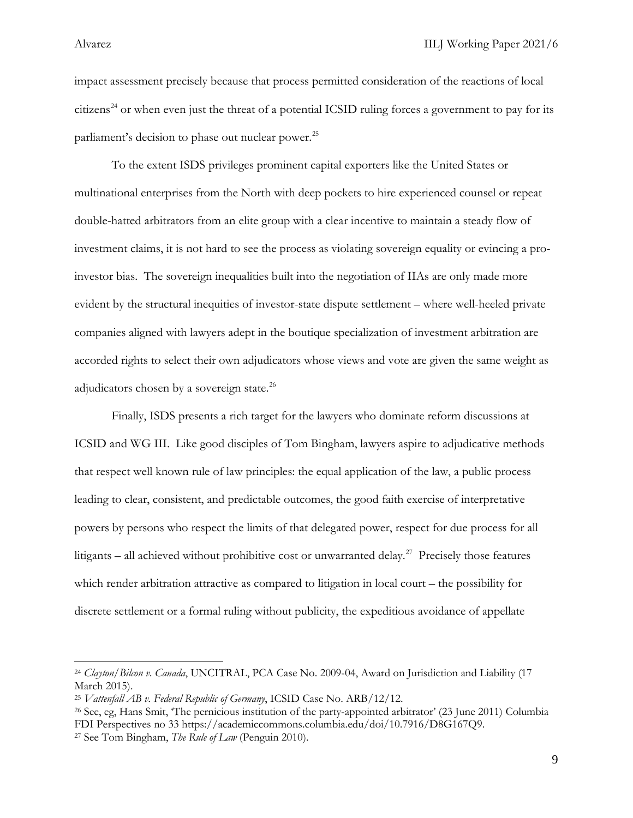impact assessment precisely because that process permitted consideration of the reactions of local citizens<sup>[24](#page-9-0)</sup> or when even just the threat of a potential ICSID ruling forces a government to pay for its parliament's decision to phase out nuclear power.<sup>[25](#page-9-1)</sup>

To the extent ISDS privileges prominent capital exporters like the United States or multinational enterprises from the North with deep pockets to hire experienced counsel or repeat double-hatted arbitrators from an elite group with a clear incentive to maintain a steady flow of investment claims, it is not hard to see the process as violating sovereign equality or evincing a proinvestor bias. The sovereign inequalities built into the negotiation of IIAs are only made more evident by the structural inequities of investor-state dispute settlement – where well-heeled private companies aligned with lawyers adept in the boutique specialization of investment arbitration are accorded rights to select their own adjudicators whose views and vote are given the same weight as adjudicators chosen by a sovereign state.<sup>[26](#page-9-2)</sup>

Finally, ISDS presents a rich target for the lawyers who dominate reform discussions at ICSID and WG III. Like good disciples of Tom Bingham, lawyers aspire to adjudicative methods that respect well known rule of law principles: the equal application of the law, a public process leading to clear, consistent, and predictable outcomes, the good faith exercise of interpretative powers by persons who respect the limits of that delegated power, respect for due process for all litigants – all achieved without prohibitive cost or unwarranted delay.<sup>[27](#page-9-3)</sup> Precisely those features which render arbitration attractive as compared to litigation in local court – the possibility for discrete settlement or a formal ruling without publicity, the expeditious avoidance of appellate

<span id="page-9-0"></span><sup>24</sup> *Clayton/Bilcon v. Canada*, UNCITRAL, PCA Case No. 2009-04, Award on Jurisdiction and Liability (17 March 2015).

<span id="page-9-1"></span><sup>25</sup> *Vattenfall AB v. Federal Republic of Germany*, ICSID Case No. ARB/12/12.

<span id="page-9-2"></span><sup>26</sup> See, eg, Hans Smit, 'The pernicious institution of the party-appointed arbitrator' (23 June 2011) Columbia FDI Perspectives no 33 https://academiccommons.columbia.edu/doi/10.7916/D8G167Q9. 27 See Tom Bingham, *The Rule of Law* (Penguin 2010).

<span id="page-9-3"></span>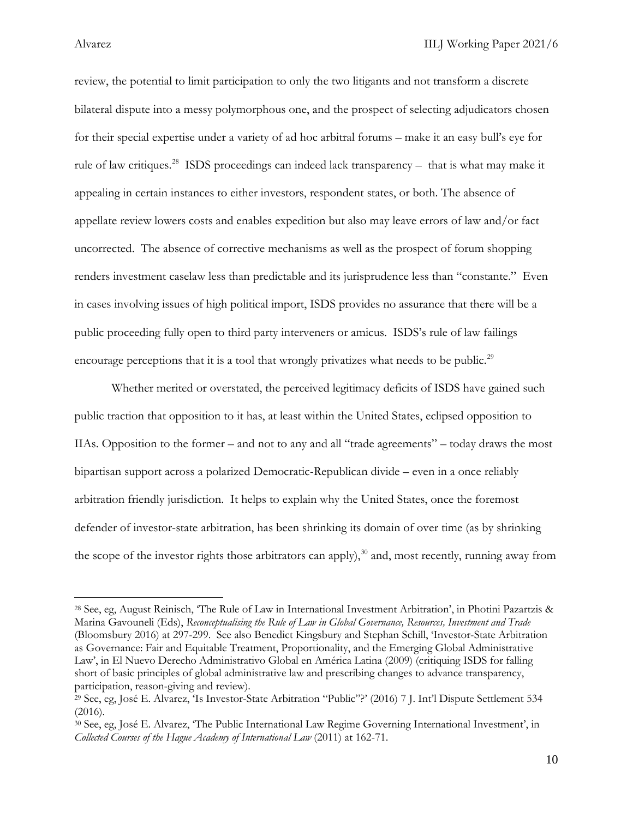review, the potential to limit participation to only the two litigants and not transform a discrete bilateral dispute into a messy polymorphous one, and the prospect of selecting adjudicators chosen for their special expertise under a variety of ad hoc arbitral forums – make it an easy bull's eye for rule of law critiques.<sup>[28](#page-10-0)</sup> ISDS proceedings can indeed lack transparency – that is what may make it appealing in certain instances to either investors, respondent states, or both. The absence of appellate review lowers costs and enables expedition but also may leave errors of law and/or fact uncorrected. The absence of corrective mechanisms as well as the prospect of forum shopping renders investment caselaw less than predictable and its jurisprudence less than "constante." Even in cases involving issues of high political import, ISDS provides no assurance that there will be a public proceeding fully open to third party interveners or amicus. ISDS's rule of law failings encourage perceptions that it is a tool that wrongly privatizes what needs to be public.<sup>[29](#page-10-1)</sup>

Whether merited or overstated, the perceived legitimacy deficits of ISDS have gained such public traction that opposition to it has, at least within the United States, eclipsed opposition to IIAs. Opposition to the former – and not to any and all "trade agreements" – today draws the most bipartisan support across a polarized Democratic-Republican divide – even in a once reliably arbitration friendly jurisdiction. It helps to explain why the United States, once the foremost defender of investor-state arbitration, has been shrinking its domain of over time (as by shrinking the scope of the investor rights those arbitrators can apply),<sup>[30](#page-10-2)</sup> and, most recently, running away from

<span id="page-10-0"></span><sup>28</sup> See, eg, August Reinisch, 'The Rule of Law in International Investment Arbitration', in Photini Pazartzis & Marina Gavouneli (Eds), *Reconceptualising the Rule of Law in Global Governance, Resources, Investment and Trade*  (Bloomsbury 2016) at 297-299. See also Benedict Kingsbury and Stephan Schill, 'Investor-State Arbitration as Governance: Fair and Equitable Treatment, Proportionality, and the Emerging Global Administrative Law', in El Nuevo Derecho Administrativo Global en América Latina (2009) (critiquing ISDS for falling short of basic principles of global administrative law and prescribing changes to advance transparency, participation, reason-giving and review).

<span id="page-10-1"></span><sup>29</sup> See, eg, José E. Alvarez, 'Is Investor-State Arbitration "Public"?' (2016) 7 J. Int'l Dispute Settlement 534 (2016).

<span id="page-10-2"></span><sup>30</sup> See, eg, José E. Alvarez, 'The Public International Law Regime Governing International Investment', in *Collected Courses of the Hague Academy of International Law* (2011) at 162-71.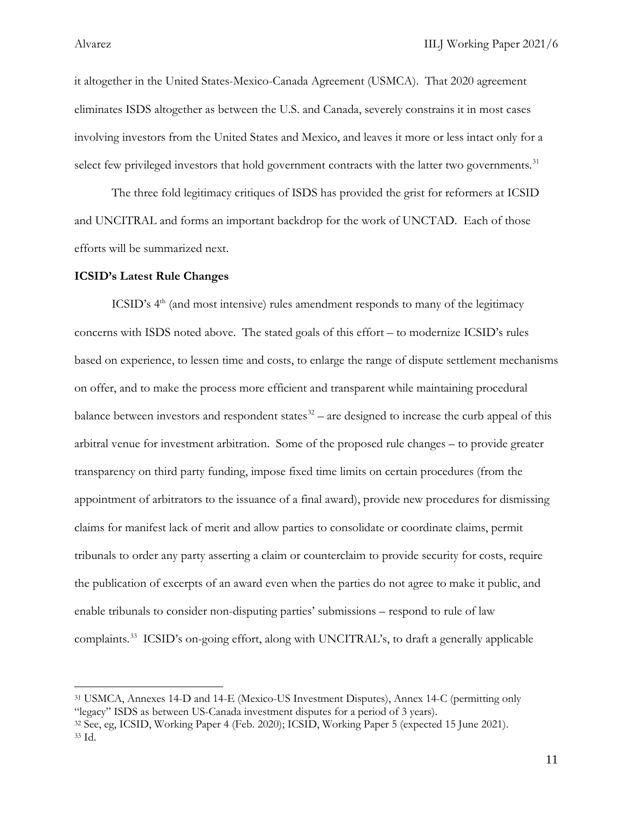it altogether in the United States-Mexico-Canada Agreement (USMCA). That 2020 agreement eliminates ISDS altogether as between the U.S. and Canada, severely constrains it in most cases involving investors from the United States and Mexico, and leaves it more or less intact only for a select few privileged investors that hold government contracts with the latter two governments.<sup>[31](#page-11-0)</sup>

The three fold legitimacy critiques of ISDS has provided the grist for reformers at ICSID and UNCITRAL and forms an important backdrop for the work of UNCTAD. Each of those efforts will be summarized next.

### **ICSID's Latest Rule Changes**

ICSID's  $4<sup>th</sup>$  (and most intensive) rules amendment responds to many of the legitimacy concerns with ISDS noted above. The stated goals of this effort – to modernize ICSID's rules based on experience, to lessen time and costs, to enlarge the range of dispute settlement mechanisms on offer, and to make the process more efficient and transparent while maintaining procedural balance between investors and respondent states<sup>[32](#page-11-1)</sup> – are designed to increase the curb appeal of this arbitral venue for investment arbitration. Some of the proposed rule changes – to provide greater transparency on third party funding, impose fixed time limits on certain procedures (from the appointment of arbitrators to the issuance of a final award), provide new procedures for dismissing claims for manifest lack of merit and allow parties to consolidate or coordinate claims, permit tribunals to order any party asserting a claim or counterclaim to provide security for costs, require the publication of excerpts of an award even when the parties do not agree to make it public, and enable tribunals to consider non-disputing parties' submissions – respond to rule of law complaints.<sup>[33](#page-11-2)</sup> ICSID's on-going effort, along with UNCITRAL's, to draft a generally applicable

<span id="page-11-0"></span><sup>31</sup> USMCA, Annexes 14-D and 14-E (Mexico-US Investment Disputes), Annex 14-C (permitting only "legacy" ISDS as between US-Canada investment disputes for a period of 3 years).

<span id="page-11-2"></span><span id="page-11-1"></span><sup>32</sup> See, eg, ICSID, Working Paper 4 (Feb. 2020); ICSID, Working Paper 5 (expected 15 June 2021). <sup>33</sup> Id.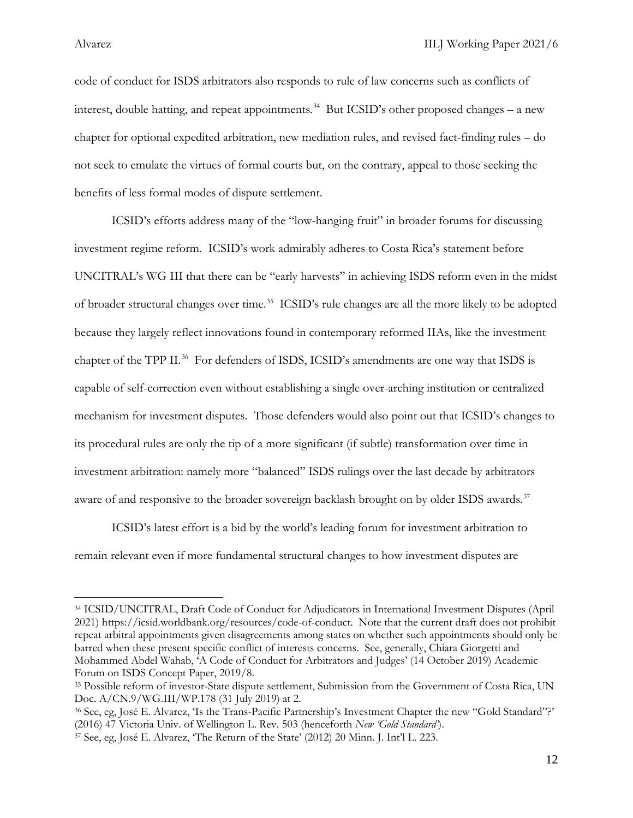code of conduct for ISDS arbitrators also responds to rule of law concerns such as conflicts of interest, double hatting, and repeat appointments.<sup>34</sup> But ICSID's other proposed changes – a new chapter for optional expedited arbitration, new mediation rules, and revised fact-finding rules – do not seek to emulate the virtues of formal courts but, on the contrary, appeal to those seeking the benefits of less formal modes of dispute settlement.

ICSID's efforts address many of the "low-hanging fruit" in broader forums for discussing investment regime reform. ICSID's work admirably adheres to Costa Rica's statement before UNCITRAL's WG III that there can be "early harvests" in achieving ISDS reform even in the midst of broader structural changes over time. [35](#page-12-1) ICSID's rule changes are all the more likely to be adopted because they largely reflect innovations found in contemporary reformed IIAs, like the investment chapter of the TPP II.<sup>[36](#page-12-2)</sup> For defenders of ISDS, ICSID's amendments are one way that ISDS is capable of self-correction even without establishing a single over-arching institution or centralized mechanism for investment disputes. Those defenders would also point out that ICSID's changes to its procedural rules are only the tip of a more significant (if subtle) transformation over time in investment arbitration: namely more "balanced" ISDS rulings over the last decade by arbitrators aware of and responsive to the broader sovereign backlash brought on by older ISDS awards.<sup>[37](#page-12-3)</sup>

ICSID's latest effort is a bid by the world's leading forum for investment arbitration to remain relevant even if more fundamental structural changes to how investment disputes are

<span id="page-12-0"></span><sup>34</sup> ICSID/UNCITRAL, Draft Code of Conduct for Adjudicators in International Investment Disputes (April 2021) https://icsid.worldbank.org/resources/code-of-conduct. Note that the current draft does not prohibit repeat arbitral appointments given disagreements among states on whether such appointments should only be barred when these present specific conflict of interests concerns. See, generally, Chiara Giorgetti and Mohammed Abdel Wahab, 'A Code of Conduct for Arbitrators and Judges' (14 October 2019) Academic Forum on ISDS Concept Paper, 2019/8.

<span id="page-12-1"></span><sup>35</sup> Possible reform of investor-State dispute settlement, Submission from the Government of Costa Rica, UN Doc. A/CN.9/WG.III/WP.178 (31 July 2019) at 2.

<span id="page-12-2"></span><sup>36</sup> See, eg, José E. Alvarez, 'Is the Trans-Pacific Partnership's Investment Chapter the new "Gold Standard"?' (2016) 47 Victoria Univ. of Wellington L. Rev. 503 (henceforth *New 'Gold Standard'*).

<span id="page-12-3"></span><sup>37</sup> See, eg, José E. Alvarez, 'The Return of the State' (2012) 20 Minn. J. Int'l L. 223.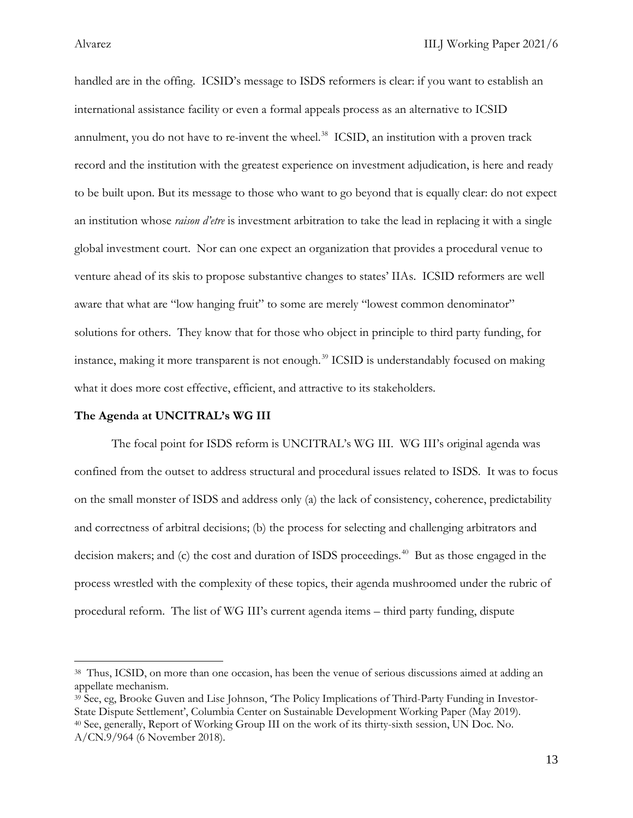handled are in the offing. ICSID's message to ISDS reformers is clear: if you want to establish an international assistance facility or even a formal appeals process as an alternative to ICSID annulment, you do not have to re-invent the wheel.<sup>[38](#page-13-0)</sup> ICSID, an institution with a proven track record and the institution with the greatest experience on investment adjudication, is here and ready to be built upon. But its message to those who want to go beyond that is equally clear: do not expect an institution whose *raison d'etre* is investment arbitration to take the lead in replacing it with a single global investment court. Nor can one expect an organization that provides a procedural venue to venture ahead of its skis to propose substantive changes to states' IIAs. ICSID reformers are well aware that what are "low hanging fruit" to some are merely "lowest common denominator" solutions for others. They know that for those who object in principle to third party funding, for instance, making it more transparent is not enough.<sup>[39](#page-13-1)</sup> ICSID is understandably focused on making what it does more cost effective, efficient, and attractive to its stakeholders.

### **The Agenda at UNCITRAL's WG III**

The focal point for ISDS reform is UNCITRAL's WG III. WG III's original agenda was confined from the outset to address structural and procedural issues related to ISDS. It was to focus on the small monster of ISDS and address only (a) the lack of consistency, coherence, predictability and correctness of arbitral decisions; (b) the process for selecting and challenging arbitrators and decision makers; and (c) the cost and duration of ISDS proceedings. [40](#page-13-2) But as those engaged in the process wrestled with the complexity of these topics, their agenda mushroomed under the rubric of procedural reform. The list of WG III's current agenda items – third party funding, dispute

<span id="page-13-0"></span><sup>38</sup> Thus, ICSID, on more than one occasion, has been the venue of serious discussions aimed at adding an appellate mechanism.

<span id="page-13-2"></span><span id="page-13-1"></span><sup>39</sup> See, eg, Brooke Guven and Lise Johnson, 'The Policy Implications of Third-Party Funding in Investor-State Dispute Settlement', Columbia Center on Sustainable Development Working Paper (May 2019). 40 See, generally, Report of Working Group III on the work of its thirty-sixth session, UN Doc. No. A/CN.9/964 (6 November 2018).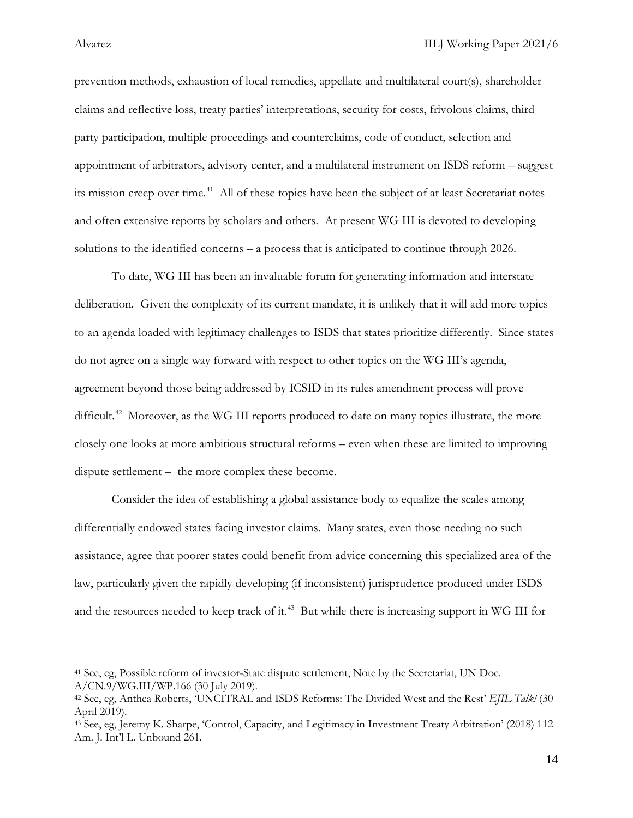prevention methods, exhaustion of local remedies, appellate and multilateral court(s), shareholder claims and reflective loss, treaty parties' interpretations, security for costs, frivolous claims, third party participation, multiple proceedings and counterclaims, code of conduct, selection and appointment of arbitrators, advisory center, and a multilateral instrument on ISDS reform – suggest its mission creep over time. [41](#page-14-0) All of these topics have been the subject of at least Secretariat notes and often extensive reports by scholars and others. At present WG III is devoted to developing solutions to the identified concerns – a process that is anticipated to continue through 2026.

To date, WG III has been an invaluable forum for generating information and interstate deliberation. Given the complexity of its current mandate, it is unlikely that it will add more topics to an agenda loaded with legitimacy challenges to ISDS that states prioritize differently. Since states do not agree on a single way forward with respect to other topics on the WG III's agenda, agreement beyond those being addressed by ICSID in its rules amendment process will prove difficult.<sup>42</sup> Moreover, as the WG III reports produced to date on many topics illustrate, the more closely one looks at more ambitious structural reforms – even when these are limited to improving dispute settlement – the more complex these become.

Consider the idea of establishing a global assistance body to equalize the scales among differentially endowed states facing investor claims. Many states, even those needing no such assistance, agree that poorer states could benefit from advice concerning this specialized area of the law, particularly given the rapidly developing (if inconsistent) jurisprudence produced under ISDS and the resources needed to keep track of it. [43](#page-14-2) But while there is increasing support in WG III for

<span id="page-14-0"></span><sup>41</sup> See, eg, Possible reform of investor-State dispute settlement, Note by the Secretariat, UN Doc. A/CN.9/WG.III/WP.166 (30 July 2019).

<span id="page-14-1"></span><sup>42</sup> See, eg, Anthea Roberts, 'UNCITRAL and ISDS Reforms: The Divided West and the Rest' *EJIL Talk!* (30 April 2019).

<span id="page-14-2"></span><sup>43</sup> See, eg, Jeremy K. Sharpe, 'Control, Capacity, and Legitimacy in Investment Treaty Arbitration' (2018) 112 Am. J. Int'l L. Unbound 261.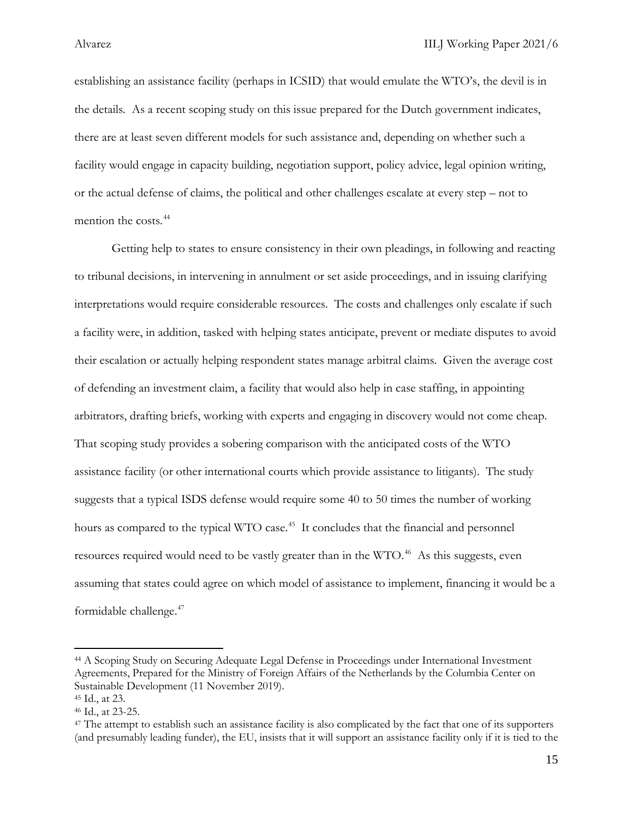establishing an assistance facility (perhaps in ICSID) that would emulate the WTO's, the devil is in the details. As a recent scoping study on this issue prepared for the Dutch government indicates, there are at least seven different models for such assistance and, depending on whether such a facility would engage in capacity building, negotiation support, policy advice, legal opinion writing, or the actual defense of claims, the political and other challenges escalate at every step – not to mention the costs. [44](#page-15-0)

Getting help to states to ensure consistency in their own pleadings, in following and reacting to tribunal decisions, in intervening in annulment or set aside proceedings, and in issuing clarifying interpretations would require considerable resources. The costs and challenges only escalate if such a facility were, in addition, tasked with helping states anticipate, prevent or mediate disputes to avoid their escalation or actually helping respondent states manage arbitral claims. Given the average cost of defending an investment claim, a facility that would also help in case staffing, in appointing arbitrators, drafting briefs, working with experts and engaging in discovery would not come cheap. That scoping study provides a sobering comparison with the anticipated costs of the WTO assistance facility (or other international courts which provide assistance to litigants). The study suggests that a typical ISDS defense would require some 40 to 50 times the number of working hours as compared to the typical WTO case.<sup>45</sup> It concludes that the financial and personnel resources required would need to be vastly greater than in the WTO.<sup>46</sup> As this suggests, even assuming that states could agree on which model of assistance to implement, financing it would be a formidable challenge. [47](#page-15-3)

<span id="page-15-0"></span><sup>44</sup> A Scoping Study on Securing Adequate Legal Defense in Proceedings under International Investment Agreements, Prepared for the Ministry of Foreign Affairs of the Netherlands by the Columbia Center on Sustainable Development (11 November 2019).

<span id="page-15-1"></span><sup>45</sup> Id., at 23.

<span id="page-15-2"></span><sup>46</sup> Id., at 23-25.

<span id="page-15-3"></span><sup>47</sup> The attempt to establish such an assistance facility is also complicated by the fact that one of its supporters (and presumably leading funder), the EU, insists that it will support an assistance facility only if it is tied to the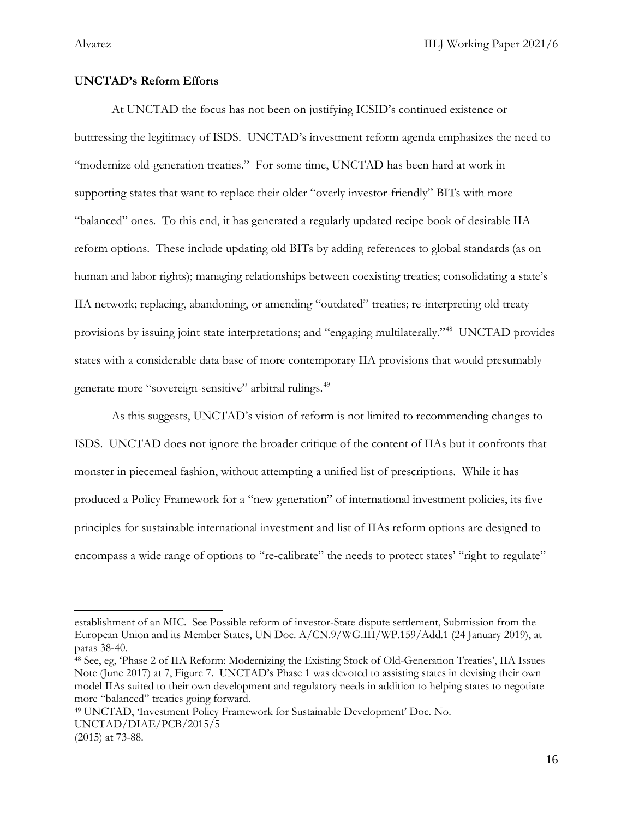### **UNCTAD's Reform Efforts**

At UNCTAD the focus has not been on justifying ICSID's continued existence or buttressing the legitimacy of ISDS. UNCTAD's investment reform agenda emphasizes the need to "modernize old-generation treaties." For some time, UNCTAD has been hard at work in supporting states that want to replace their older "overly investor-friendly" BITs with more "balanced" ones. To this end, it has generated a regularly updated recipe book of desirable IIA reform options. These include updating old BITs by adding references to global standards (as on human and labor rights); managing relationships between coexisting treaties; consolidating a state's IIA network; replacing, abandoning, or amending "outdated" treaties; re-interpreting old treaty provisions by issuing joint state interpretations; and "engaging multilaterally.["48](#page-16-0) UNCTAD provides states with a considerable data base of more contemporary IIA provisions that would presumably generate more "sovereign-sensitive" arbitral rulings.<sup>[49](#page-16-1)</sup>

As this suggests, UNCTAD's vision of reform is not limited to recommending changes to ISDS. UNCTAD does not ignore the broader critique of the content of IIAs but it confronts that monster in piecemeal fashion, without attempting a unified list of prescriptions. While it has produced a Policy Framework for a "new generation" of international investment policies, its five principles for sustainable international investment and list of IIAs reform options are designed to encompass a wide range of options to "re-calibrate" the needs to protect states' "right to regulate"

<span id="page-16-1"></span><sup>49</sup> UNCTAD, 'Investment Policy Framework for Sustainable Development' Doc. No. UNCTAD/DIAE/PCB/2015/5 (2015) at 73-88.

establishment of an MIC*.* See Possible reform of investor-State dispute settlement, Submission from the European Union and its Member States, UN Doc. A/CN.9/WG.III/WP.159/Add.1 (24 January 2019), at paras 38-40.

<span id="page-16-0"></span><sup>48</sup> See, eg, 'Phase 2 of IIA Reform: Modernizing the Existing Stock of Old-Generation Treaties', IIA Issues Note (June 2017) at 7, Figure 7. UNCTAD's Phase 1 was devoted to assisting states in devising their own model IIAs suited to their own development and regulatory needs in addition to helping states to negotiate more "balanced" treaties going forward.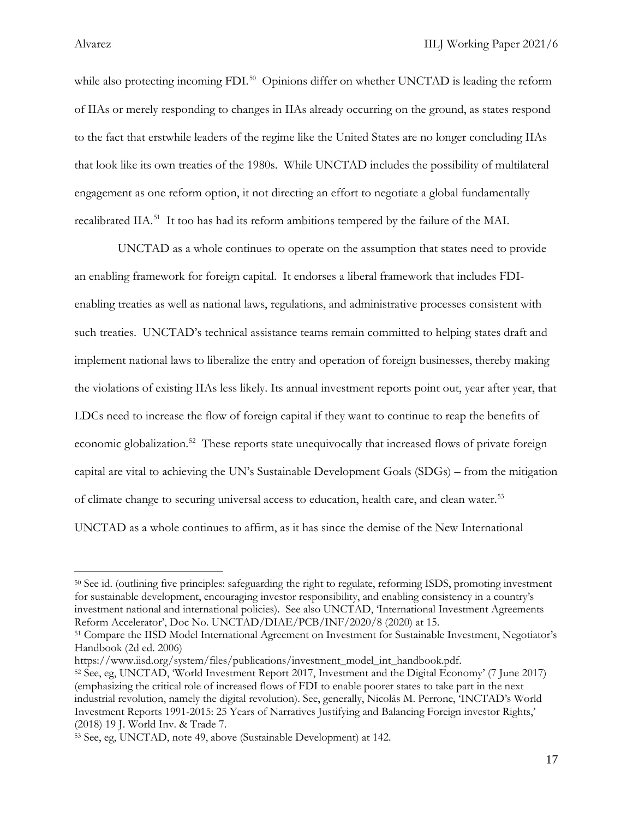l

while also protecting incoming FDI.<sup>[50](#page-17-0)</sup> Opinions differ on whether UNCTAD is leading the reform of IIAs or merely responding to changes in IIAs already occurring on the ground, as states respond to the fact that erstwhile leaders of the regime like the United States are no longer concluding IIAs that look like its own treaties of the 1980s. While UNCTAD includes the possibility of multilateral engagement as one reform option, it not directing an effort to negotiate a global fundamentally recalibrated IIA.<sup>[51](#page-17-1)</sup> It too has had its reform ambitions tempered by the failure of the MAI.

 UNCTAD as a whole continues to operate on the assumption that states need to provide an enabling framework for foreign capital. It endorses a liberal framework that includes FDIenabling treaties as well as national laws, regulations, and administrative processes consistent with such treaties. UNCTAD's technical assistance teams remain committed to helping states draft and implement national laws to liberalize the entry and operation of foreign businesses, thereby making the violations of existing IIAs less likely. Its annual investment reports point out, year after year, that LDCs need to increase the flow of foreign capital if they want to continue to reap the benefits of economic globalization.<sup>[52](#page-17-2)</sup> These reports state unequivocally that increased flows of private foreign capital are vital to achieving the UN's Sustainable Development Goals (SDGs) – from the mitigation of climate change to securing universal access to education, health care, and clean water. [53](#page-17-3)  UNCTAD as a whole continues to affirm, as it has since the demise of the New International

<span id="page-17-0"></span><sup>50</sup> See id. (outlining five principles: safeguarding the right to regulate, reforming ISDS, promoting investment for sustainable development, encouraging investor responsibility, and enabling consistency in a country's investment national and international policies). See also UNCTAD, 'International Investment Agreements Reform Accelerator', Doc No. UNCTAD/DIAE/PCB/INF/2020/8 (2020) at 15.

<span id="page-17-1"></span><sup>51</sup> Compare the IISD Model International Agreement on Investment for Sustainable Investment, Negotiator's Handbook (2d ed. 2006)

<span id="page-17-2"></span>https://www.iisd.org/system/files/publications/investment\_model\_int\_handbook.pdf. 52 See, eg, UNCTAD, 'World Investment Report 2017, Investment and the Digital Economy' (7 June 2017) (emphasizing the critical role of increased flows of FDI to enable poorer states to take part in the next industrial revolution, namely the digital revolution). See, generally, Nicolás M. Perrone, 'INCTAD's World Investment Reports 1991-2015: 25 Years of Narratives Justifying and Balancing Foreign investor Rights,' (2018) 19 J. World Inv. & Trade 7.

<span id="page-17-3"></span><sup>53</sup> See, eg, UNCTAD, note 49, above (Sustainable Development) at 142.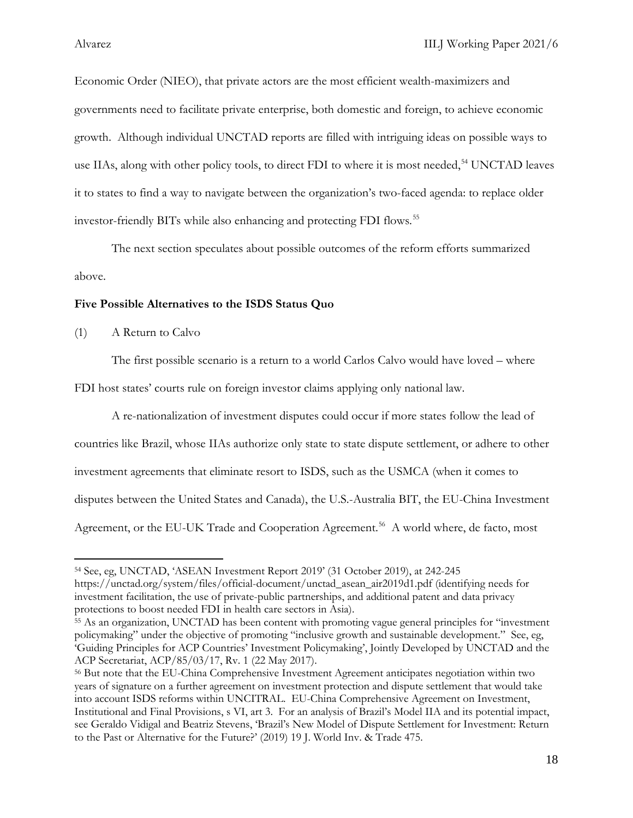Economic Order (NIEO), that private actors are the most efficient wealth-maximizers and governments need to facilitate private enterprise, both domestic and foreign, to achieve economic growth. Although individual UNCTAD reports are filled with intriguing ideas on possible ways to use IIAs, along with other policy tools, to direct FDI to where it is most needed,<sup>[54](#page-18-0)</sup> UNCTAD leaves it to states to find a way to navigate between the organization's two-faced agenda: to replace older investor-friendly BITs while also enhancing and protecting FDI flows. [55](#page-18-1)

The next section speculates about possible outcomes of the reform efforts summarized above.

### **Five Possible Alternatives to the ISDS Status Quo**

(1) A Return to Calvo

 $\overline{\phantom{a}}$ 

The first possible scenario is a return to a world Carlos Calvo would have loved – where

FDI host states' courts rule on foreign investor claims applying only national law.

A re-nationalization of investment disputes could occur if more states follow the lead of countries like Brazil, whose IIAs authorize only state to state dispute settlement, or adhere to other investment agreements that eliminate resort to ISDS, such as the USMCA (when it comes to disputes between the United States and Canada), the U.S.-Australia BIT, the EU-China Investment Agreement, or the EU-UK Trade and Cooperation Agreement.<sup>56</sup> A world where, de facto, most

<span id="page-18-0"></span><sup>54</sup> See, eg, UNCTAD, 'ASEAN Investment Report 2019' (31 October 2019), at 242-245 https://unctad.org/system/files/official-document/unctad\_asean\_air2019d1.pdf (identifying needs for investment facilitation, the use of private-public partnerships, and additional patent and data privacy protections to boost needed FDI in health care sectors in Asia).

<span id="page-18-1"></span><sup>55</sup> As an organization, UNCTAD has been content with promoting vague general principles for "investment policymaking" under the objective of promoting "inclusive growth and sustainable development." See, eg, 'Guiding Principles for ACP Countries' Investment Policymaking', Jointly Developed by UNCTAD and the ACP Secretariat, ACP/85/03/17, Rv. 1 (22 May 2017).

<span id="page-18-2"></span><sup>56</sup> But note that the EU-China Comprehensive Investment Agreement anticipates negotiation within two years of signature on a further agreement on investment protection and dispute settlement that would take into account ISDS reforms within UNCITRAL. EU-China Comprehensive Agreement on Investment, Institutional and Final Provisions, s VI, art 3. For an analysis of Brazil's Model IIA and its potential impact, see Geraldo Vidigal and Beatriz Stevens, 'Brazil's New Model of Dispute Settlement for Investment: Return to the Past or Alternative for the Future?' (2019) 19 J. World Inv. & Trade 475.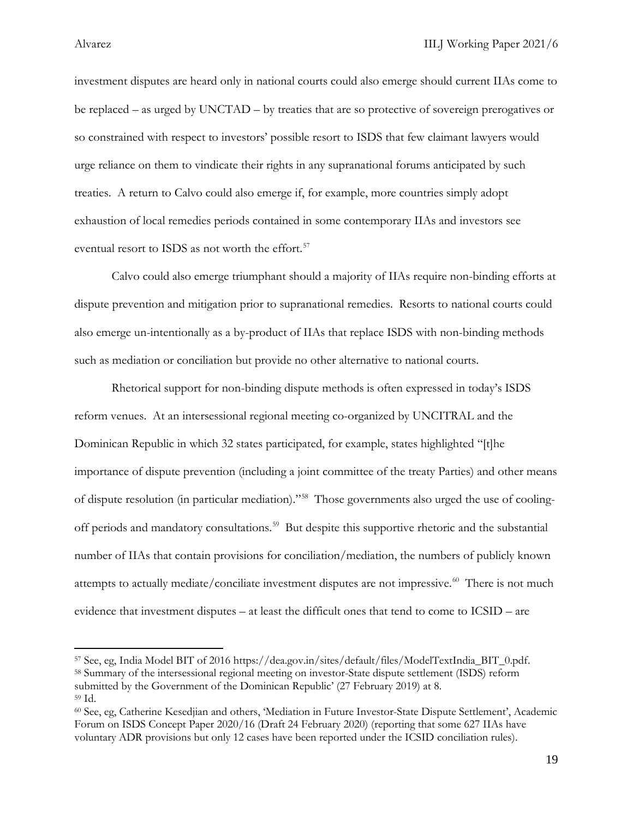investment disputes are heard only in national courts could also emerge should current IIAs come to be replaced – as urged by UNCTAD – by treaties that are so protective of sovereign prerogatives or so constrained with respect to investors' possible resort to ISDS that few claimant lawyers would urge reliance on them to vindicate their rights in any supranational forums anticipated by such treaties. A return to Calvo could also emerge if, for example, more countries simply adopt exhaustion of local remedies periods contained in some contemporary IIAs and investors see eventual resort to ISDS as not worth the effort. [57](#page-19-0) 

Calvo could also emerge triumphant should a majority of IIAs require non-binding efforts at dispute prevention and mitigation prior to supranational remedies. Resorts to national courts could also emerge un-intentionally as a by-product of IIAs that replace ISDS with non-binding methods such as mediation or conciliation but provide no other alternative to national courts.

Rhetorical support for non-binding dispute methods is often expressed in today's ISDS reform venues. At an intersessional regional meeting co-organized by UNCITRAL and the Dominican Republic in which 32 states participated, for example, states highlighted "[t]he importance of dispute prevention (including a joint committee of the treaty Parties) and other means of dispute resolution (in particular mediation)."[58](#page-19-1) Those governments also urged the use of cooling-off periods and mandatory consultations.<sup>[59](#page-19-2)</sup> But despite this supportive rhetoric and the substantial number of IIAs that contain provisions for conciliation/mediation, the numbers of publicly known attempts to actually mediate/conciliate investment disputes are not impressive.<sup>[60](#page-19-3)</sup> There is not much evidence that investment disputes – at least the difficult ones that tend to come to ICSID – are

<span id="page-19-1"></span><span id="page-19-0"></span><sup>57</sup> See, eg, India Model BIT of 2016 https://dea.gov.in/sites/default/files/ModelTextIndia\_BIT\_0.pdf. 58 Summary of the intersessional regional meeting on investor-State dispute settlement (ISDS) reform submitted by the Government of the Dominican Republic' (27 February 2019) at 8. <sup>59</sup> Id.

<span id="page-19-3"></span><span id="page-19-2"></span><sup>60</sup> See, eg, Catherine Kesedjian and others, 'Mediation in Future Investor-State Dispute Settlement', Academic Forum on ISDS Concept Paper 2020/16 (Draft 24 February 2020) (reporting that some 627 IIAs have voluntary ADR provisions but only 12 cases have been reported under the ICSID conciliation rules).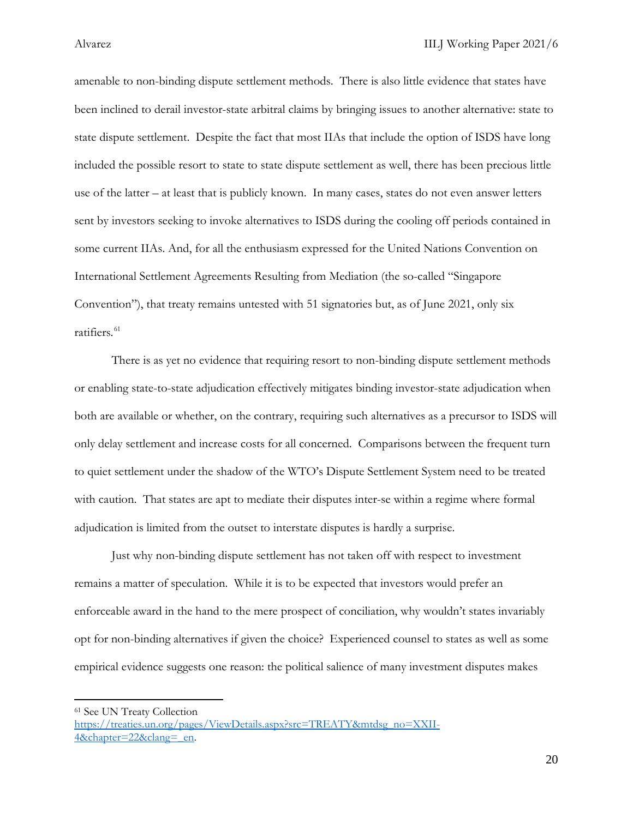amenable to non-binding dispute settlement methods. There is also little evidence that states have been inclined to derail investor-state arbitral claims by bringing issues to another alternative: state to state dispute settlement. Despite the fact that most IIAs that include the option of ISDS have long included the possible resort to state to state dispute settlement as well, there has been precious little use of the latter – at least that is publicly known. In many cases, states do not even answer letters sent by investors seeking to invoke alternatives to ISDS during the cooling off periods contained in some current IIAs. And, for all the enthusiasm expressed for the United Nations Convention on International Settlement Agreements Resulting from Mediation (the so-called "Singapore Convention"), that treaty remains untested with 51 signatories but, as of June 2021, only six ratifiers.<sup>[61](#page-20-0)</sup>

There is as yet no evidence that requiring resort to non-binding dispute settlement methods or enabling state-to-state adjudication effectively mitigates binding investor-state adjudication when both are available or whether, on the contrary, requiring such alternatives as a precursor to ISDS will only delay settlement and increase costs for all concerned. Comparisons between the frequent turn to quiet settlement under the shadow of the WTO's Dispute Settlement System need to be treated with caution. That states are apt to mediate their disputes inter-se within a regime where formal adjudication is limited from the outset to interstate disputes is hardly a surprise.

Just why non-binding dispute settlement has not taken off with respect to investment remains a matter of speculation. While it is to be expected that investors would prefer an enforceable award in the hand to the mere prospect of conciliation, why wouldn't states invariably opt for non-binding alternatives if given the choice? Experienced counsel to states as well as some empirical evidence suggests one reason: the political salience of many investment disputes makes

<span id="page-20-0"></span><sup>61</sup> See UN Treaty Collection

[https://treaties.un.org/pages/ViewDetails.aspx?src=TREATY&mtdsg\\_no=XXII-](https://treaties.un.org/pages/ViewDetails.aspx?src=TREATY&mtdsg_no=XXII-4&chapter=22&clang=_en)4&chapter=22&clang= en.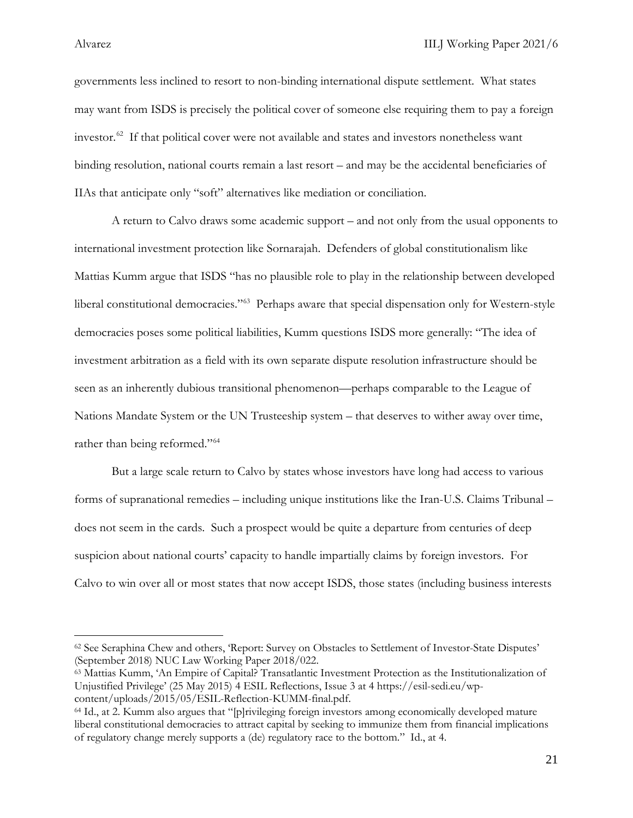governments less inclined to resort to non-binding international dispute settlement. What states may want from ISDS is precisely the political cover of someone else requiring them to pay a foreign investor.<sup>[62](#page-21-0)</sup> If that political cover were not available and states and investors nonetheless want binding resolution, national courts remain a last resort – and may be the accidental beneficiaries of IIAs that anticipate only "soft" alternatives like mediation or conciliation.

A return to Calvo draws some academic support – and not only from the usual opponents to international investment protection like Sornarajah. Defenders of global constitutionalism like Mattias Kumm argue that ISDS "has no plausible role to play in the relationship between developed liberal constitutional democracies."<sup>63</sup> Perhaps aware that special dispensation only for Western-style democracies poses some political liabilities, Kumm questions ISDS more generally: "The idea of investment arbitration as a field with its own separate dispute resolution infrastructure should be seen as an inherently dubious transitional phenomenon—perhaps comparable to the League of Nations Mandate System or the UN Trusteeship system – that deserves to wither away over time, rather than being reformed."<sup>64</sup>

But a large scale return to Calvo by states whose investors have long had access to various forms of supranational remedies – including unique institutions like the Iran-U.S. Claims Tribunal – does not seem in the cards. Such a prospect would be quite a departure from centuries of deep suspicion about national courts' capacity to handle impartially claims by foreign investors. For Calvo to win over all or most states that now accept ISDS, those states (including business interests

<span id="page-21-0"></span><sup>62</sup> See Seraphina Chew and others, 'Report: Survey on Obstacles to Settlement of Investor-State Disputes' (September 2018) NUC Law Working Paper 2018/022.

<span id="page-21-1"></span><sup>63</sup> Mattias Kumm, 'An Empire of Capital? Transatlantic Investment Protection as the Institutionalization of Unjustified Privilege' (25 May 2015) 4 ESIL Reflections, Issue 3 at 4 https://esil-sedi.eu/wpcontent/uploads/2015/05/ESIL-Reflection-KUMM-final.pdf. 64 Id., at 2. Kumm also argues that "[p]rivileging foreign investors among economically developed mature

<span id="page-21-2"></span>liberal constitutional democracies to attract capital by seeking to immunize them from financial implications of regulatory change merely supports a (de) regulatory race to the bottom." Id., at 4.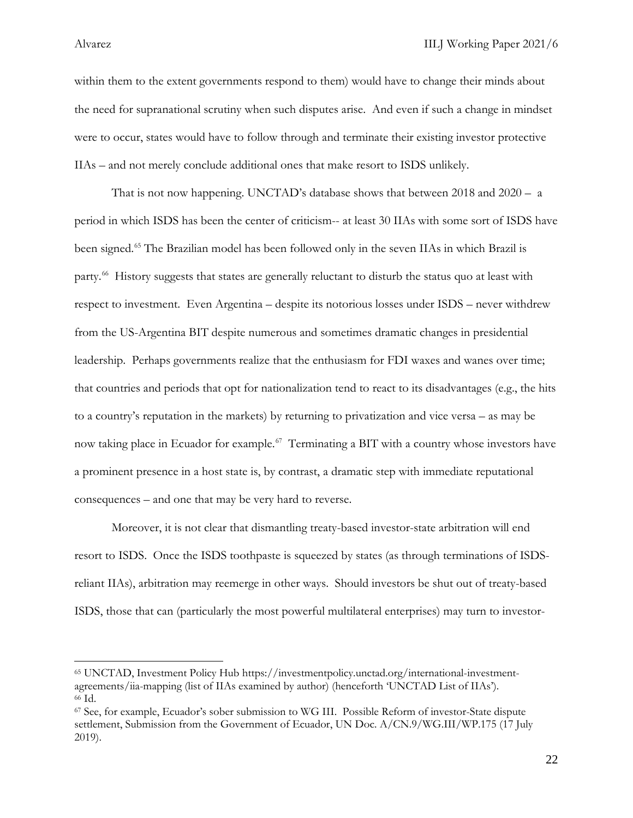within them to the extent governments respond to them) would have to change their minds about the need for supranational scrutiny when such disputes arise. And even if such a change in mindset were to occur, states would have to follow through and terminate their existing investor protective IIAs – and not merely conclude additional ones that make resort to ISDS unlikely.

That is not now happening. UNCTAD's database shows that between 2018 and 2020 – a period in which ISDS has been the center of criticism-- at least 30 IIAs with some sort of ISDS have been signed.<sup>[65](#page-22-0)</sup> The Brazilian model has been followed only in the seven IIAs in which Brazil is party.<sup>[66](#page-22-1)</sup> History suggests that states are generally reluctant to disturb the status quo at least with respect to investment. Even Argentina – despite its notorious losses under ISDS – never withdrew from the US-Argentina BIT despite numerous and sometimes dramatic changes in presidential leadership. Perhaps governments realize that the enthusiasm for FDI waxes and wanes over time; that countries and periods that opt for nationalization tend to react to its disadvantages (e.g., the hits to a country's reputation in the markets) by returning to privatization and vice versa – as may be now taking place in Ecuador for example.<sup>[67](#page-22-2)</sup> Terminating a BIT with a country whose investors have a prominent presence in a host state is, by contrast, a dramatic step with immediate reputational consequences – and one that may be very hard to reverse.

Moreover, it is not clear that dismantling treaty-based investor-state arbitration will end resort to ISDS. Once the ISDS toothpaste is squeezed by states (as through terminations of ISDSreliant IIAs), arbitration may reemerge in other ways. Should investors be shut out of treaty-based ISDS, those that can (particularly the most powerful multilateral enterprises) may turn to investor-

<span id="page-22-0"></span><sup>65</sup> UNCTAD, Investment Policy Hub https://investmentpolicy.unctad.org/international-investmentagreements/iia-mapping (list of IIAs examined by author) (henceforth 'UNCTAD List of IIAs'). <sup>66</sup> Id.

<span id="page-22-2"></span><span id="page-22-1"></span><sup>67</sup> See, for example, Ecuador's sober submission to WG III. Possible Reform of investor-State dispute settlement, Submission from the Government of Ecuador, UN Doc. A/CN.9/WG.III/WP.175 (17 July 2019).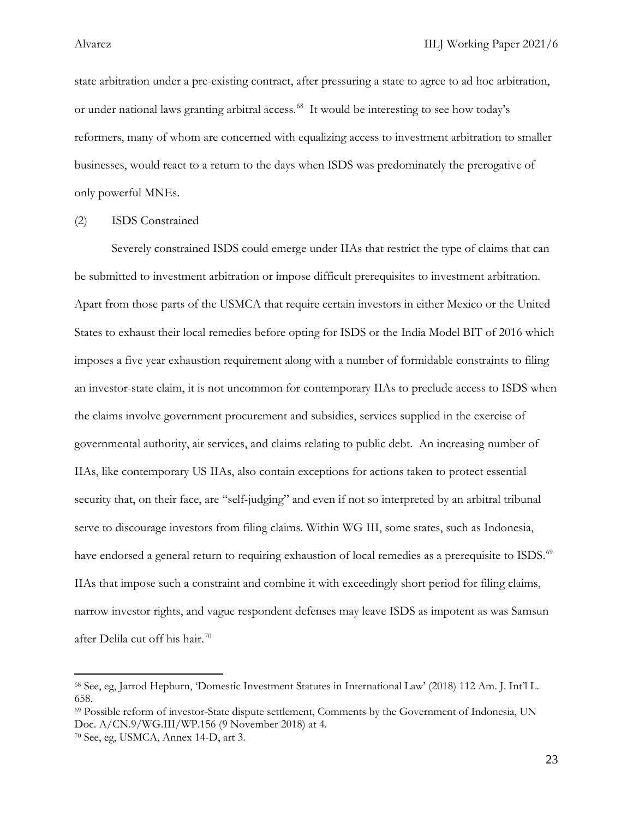state arbitration under a pre-existing contract, after pressuring a state to agree to ad hoc arbitration, or under national laws granting arbitral access. [68](#page-23-0) It would be interesting to see how today's reformers, many of whom are concerned with equalizing access to investment arbitration to smaller businesses, would react to a return to the days when ISDS was predominately the prerogative of only powerful MNEs.

(2) ISDS Constrained

Severely constrained ISDS could emerge under IIAs that restrict the type of claims that can be submitted to investment arbitration or impose difficult prerequisites to investment arbitration. Apart from those parts of the USMCA that require certain investors in either Mexico or the United States to exhaust their local remedies before opting for ISDS or the India Model BIT of 2016 which imposes a five year exhaustion requirement along with a number of formidable constraints to filing an investor-state claim, it is not uncommon for contemporary IIAs to preclude access to ISDS when the claims involve government procurement and subsidies, services supplied in the exercise of governmental authority, air services, and claims relating to public debt. An increasing number of IIAs, like contemporary US IIAs, also contain exceptions for actions taken to protect essential security that, on their face, are "self-judging" and even if not so interpreted by an arbitral tribunal serve to discourage investors from filing claims. Within WG III, some states, such as Indonesia, have endorsed a general return to requiring exhaustion of local remedies as a prerequisite to ISDS.<sup>[69](#page-23-1)</sup> IIAs that impose such a constraint and combine it with exceedingly short period for filing claims, narrow investor rights, and vague respondent defenses may leave ISDS as impotent as was Samsun after Delila cut off his hair.<sup>[70](#page-23-2)</sup>

l

<span id="page-23-0"></span><sup>68</sup> See, eg, Jarrod Hepburn, 'Domestic Investment Statutes in International Law' (2018) 112 Am. J. Int'l L. 658.

<span id="page-23-1"></span><sup>69</sup> Possible reform of investor-State dispute settlement, Comments by the Government of Indonesia, UN Doc. A/CN.9/WG.III/WP.156 (9 November 2018) at 4.

<span id="page-23-2"></span><sup>70</sup> See, eg, USMCA, Annex 14-D, art 3.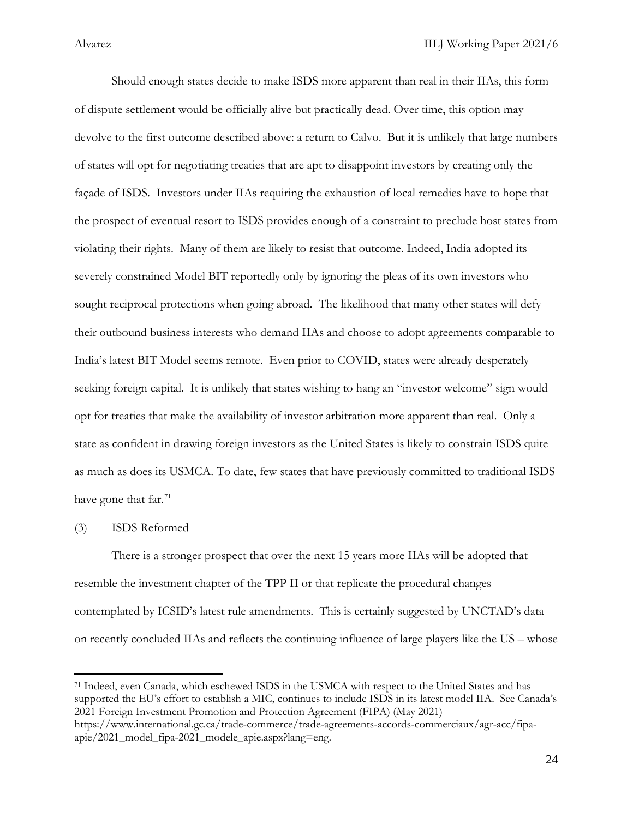Should enough states decide to make ISDS more apparent than real in their IIAs, this form of dispute settlement would be officially alive but practically dead. Over time, this option may devolve to the first outcome described above: a return to Calvo. But it is unlikely that large numbers of states will opt for negotiating treaties that are apt to disappoint investors by creating only the façade of ISDS. Investors under IIAs requiring the exhaustion of local remedies have to hope that the prospect of eventual resort to ISDS provides enough of a constraint to preclude host states from violating their rights. Many of them are likely to resist that outcome. Indeed, India adopted its severely constrained Model BIT reportedly only by ignoring the pleas of its own investors who sought reciprocal protections when going abroad. The likelihood that many other states will defy their outbound business interests who demand IIAs and choose to adopt agreements comparable to India's latest BIT Model seems remote. Even prior to COVID, states were already desperately seeking foreign capital. It is unlikely that states wishing to hang an "investor welcome" sign would opt for treaties that make the availability of investor arbitration more apparent than real. Only a state as confident in drawing foreign investors as the United States is likely to constrain ISDS quite as much as does its USMCA. To date, few states that have previously committed to traditional ISDS have gone that far.<sup>71</sup>

### (3) ISDS Reformed

l

There is a stronger prospect that over the next 15 years more IIAs will be adopted that resemble the investment chapter of the TPP II or that replicate the procedural changes contemplated by ICSID's latest rule amendments. This is certainly suggested by UNCTAD's data on recently concluded IIAs and reflects the continuing influence of large players like the US – whose

<span id="page-24-0"></span><sup>71</sup> Indeed, even Canada, which eschewed ISDS in the USMCA with respect to the United States and has supported the EU's effort to establish a MIC, continues to include ISDS in its latest model IIA. See Canada's 2021 Foreign Investment Promotion and Protection Agreement (FIPA) (May 2021) https://www.international.gc.ca/trade-commerce/trade-agreements-accords-commerciaux/agr-acc/fipaapie/2021\_model\_fipa-2021\_modele\_apie.aspx?lang=eng.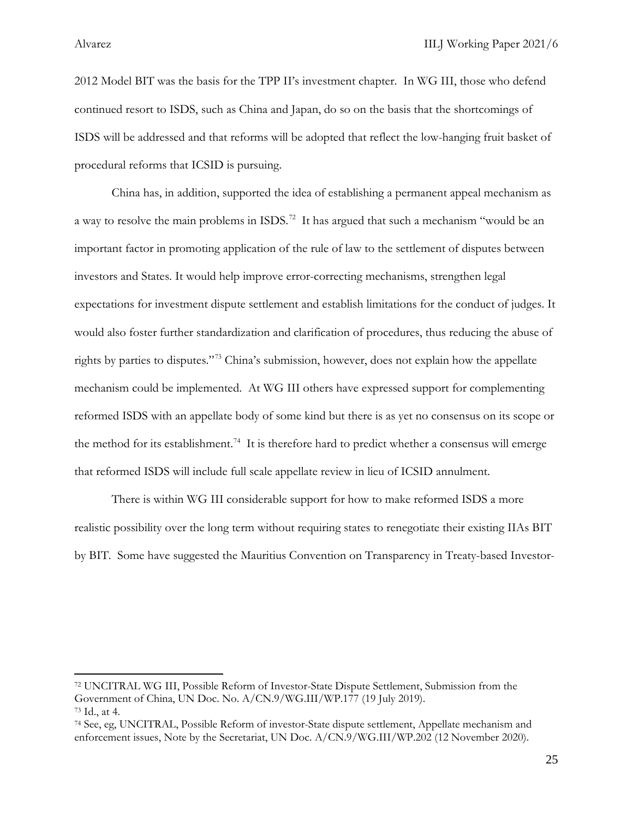l

2012 Model BIT was the basis for the TPP II's investment chapter. In WG III, those who defend continued resort to ISDS, such as China and Japan, do so on the basis that the shortcomings of ISDS will be addressed and that reforms will be adopted that reflect the low-hanging fruit basket of procedural reforms that ICSID is pursuing.

China has, in addition, supported the idea of establishing a permanent appeal mechanism as a way to resolve the main problems in ISDS.<sup>[72](#page-25-0)</sup> It has argued that such a mechanism "would be an important factor in promoting application of the rule of law to the settlement of disputes between investors and States. It would help improve error-correcting mechanisms, strengthen legal expectations for investment dispute settlement and establish limitations for the conduct of judges. It would also foster further standardization and clarification of procedures, thus reducing the abuse of rights by parties to disputes."[73](#page-25-1) China's submission, however, does not explain how the appellate mechanism could be implemented. At WG III others have expressed support for complementing reformed ISDS with an appellate body of some kind but there is as yet no consensus on its scope or the method for its establishment.<sup>74</sup> It is therefore hard to predict whether a consensus will emerge that reformed ISDS will include full scale appellate review in lieu of ICSID annulment.

There is within WG III considerable support for how to make reformed ISDS a more realistic possibility over the long term without requiring states to renegotiate their existing IIAs BIT by BIT. Some have suggested the Mauritius Convention on Transparency in Treaty-based Investor-

<span id="page-25-0"></span><sup>72</sup> UNCITRAL WG III, Possible Reform of Investor-State Dispute Settlement, Submission from the Government of China, UN Doc. No. A/CN.9/WG.III/WP.177 (19 July 2019). <sup>73</sup> Id., at 4.

<span id="page-25-2"></span><span id="page-25-1"></span><sup>74</sup> See, eg, UNCITRAL, Possible Reform of investor-State dispute settlement, Appellate mechanism and enforcement issues, Note by the Secretariat, UN Doc. A/CN.9/WG.III/WP.202 (12 November 2020).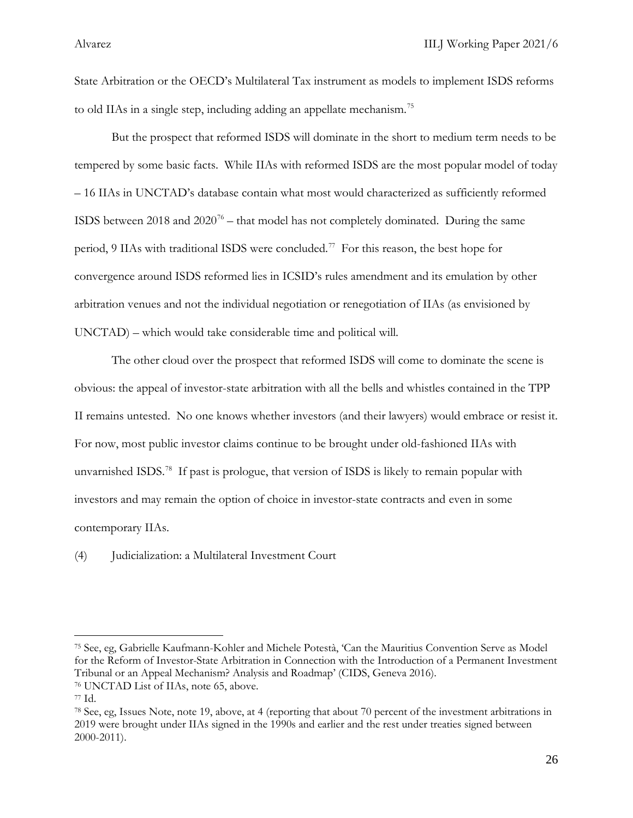State Arbitration or the OECD's Multilateral Tax instrument as models to implement ISDS reforms to old IIAs in a single step, including adding an appellate mechanism.<sup>[75](#page-26-0)</sup>

But the prospect that reformed ISDS will dominate in the short to medium term needs to be tempered by some basic facts. While IIAs with reformed ISDS are the most popular model of today – 16 IIAs in UNCTAD's database contain what most would characterized as sufficiently reformed ISDS between 2018 and  $2020^{76}$  $2020^{76}$  $2020^{76}$  – that model has not completely dominated. During the same period, 9 IIAs with traditional ISDS were concluded.<sup>[77](#page-26-2)</sup> For this reason, the best hope for convergence around ISDS reformed lies in ICSID's rules amendment and its emulation by other arbitration venues and not the individual negotiation or renegotiation of IIAs (as envisioned by UNCTAD) – which would take considerable time and political will.

The other cloud over the prospect that reformed ISDS will come to dominate the scene is obvious: the appeal of investor-state arbitration with all the bells and whistles contained in the TPP II remains untested. No one knows whether investors (and their lawyers) would embrace or resist it. For now, most public investor claims continue to be brought under old-fashioned IIAs with unvarnished ISDS.<sup>[78](#page-26-3)</sup> If past is prologue, that version of ISDS is likely to remain popular with investors and may remain the option of choice in investor-state contracts and even in some contemporary IIAs.

(4) Judicialization: a Multilateral Investment Court

<span id="page-26-0"></span><sup>75</sup> See, eg, Gabrielle Kaufmann-Kohler and Michele Potestà, 'Can the Mauritius Convention Serve as Model for the Reform of Investor-State Arbitration in Connection with the Introduction of a Permanent Investment Tribunal or an Appeal Mechanism? Analysis and Roadmap' (CIDS, Geneva 2016).

<span id="page-26-1"></span><sup>76</sup> UNCTAD List of IIAs, note 65, above.

<span id="page-26-2"></span><sup>77</sup> Id.

<span id="page-26-3"></span><sup>78</sup> See, eg, Issues Note, note 19, above, at 4 (reporting that about 70 percent of the investment arbitrations in 2019 were brought under IIAs signed in the 1990s and earlier and the rest under treaties signed between 2000-2011).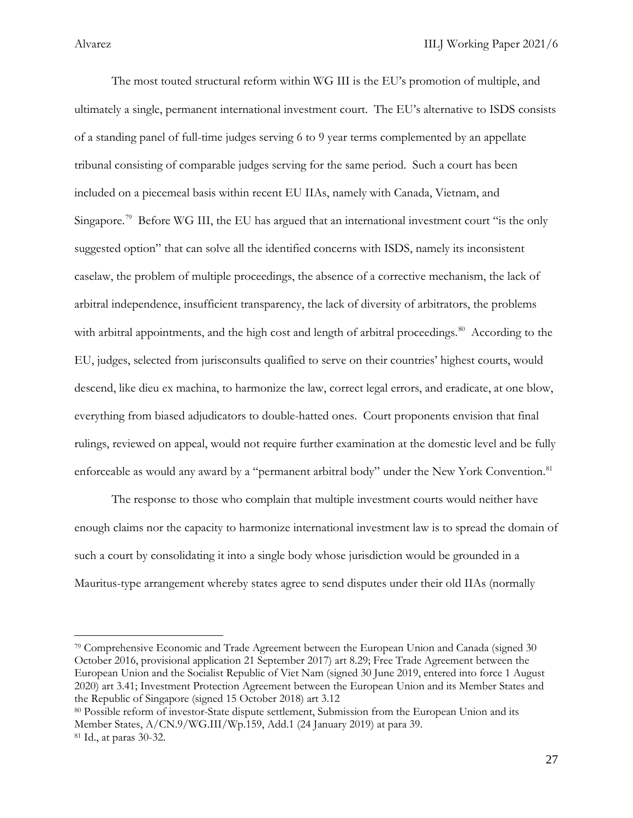The most touted structural reform within WG III is the EU's promotion of multiple, and ultimately a single, permanent international investment court. The EU's alternative to ISDS consists of a standing panel of full-time judges serving 6 to 9 year terms complemented by an appellate tribunal consisting of comparable judges serving for the same period. Such a court has been included on a piecemeal basis within recent EU IIAs, namely with Canada, Vietnam, and Singapore.<sup>79</sup> Before WG III, the EU has argued that an international investment court "is the only suggested option" that can solve all the identified concerns with ISDS, namely its inconsistent caselaw, the problem of multiple proceedings, the absence of a corrective mechanism, the lack of arbitral independence, insufficient transparency, the lack of diversity of arbitrators, the problems with arbitral appointments, and the high cost and length of arbitral proceedings.<sup>80</sup> According to the EU, judges, selected from jurisconsults qualified to serve on their countries' highest courts, would descend, like dieu ex machina, to harmonize the law, correct legal errors, and eradicate, at one blow, everything from biased adjudicators to double-hatted ones. Court proponents envision that final rulings, reviewed on appeal, would not require further examination at the domestic level and be fully enforceable as would any award by a "permanent arbitral body" under the New York Convention.<sup>[81](#page-27-2)</sup>

The response to those who complain that multiple investment courts would neither have enough claims nor the capacity to harmonize international investment law is to spread the domain of such a court by consolidating it into a single body whose jurisdiction would be grounded in a Mauritus-type arrangement whereby states agree to send disputes under their old IIAs (normally

<span id="page-27-0"></span><sup>79</sup> Comprehensive Economic and Trade Agreement between the European Union and Canada (signed 30 October 2016, provisional application 21 September 2017) art 8.29; Free Trade Agreement between the European Union and the Socialist Republic of Viet Nam (signed 30 June 2019, entered into force 1 August 2020) art 3.41; Investment Protection Agreement between the European Union and its Member States and the Republic of Singapore (signed 15 October 2018) art 3.12

<span id="page-27-2"></span><span id="page-27-1"></span><sup>80</sup> Possible reform of investor-State dispute settlement, Submission from the European Union and its Member States, A/CN.9/WG.III/Wp.159, Add.1 (24 January 2019) at para 39. <sup>81</sup> Id., at paras 30-32.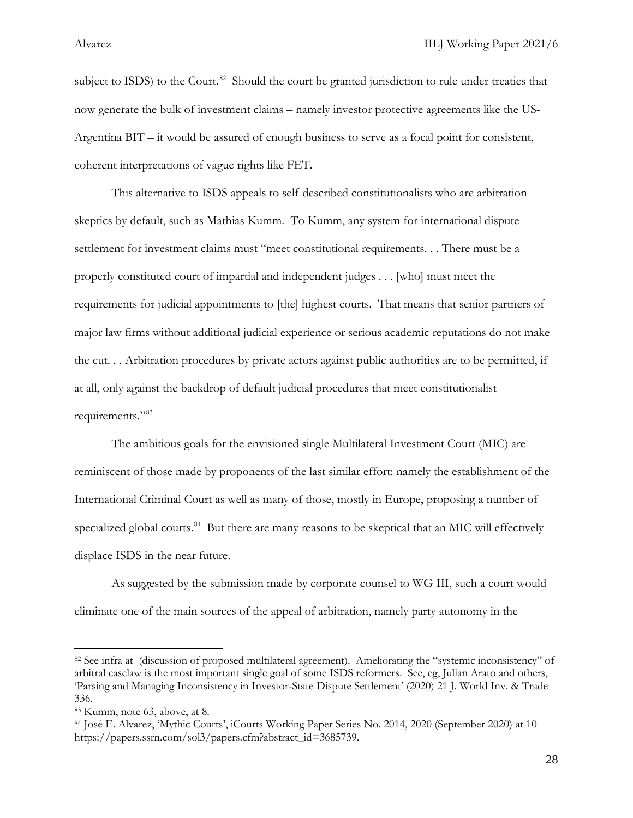subject to ISDS) to the Court.<sup>82</sup> Should the court be granted jurisdiction to rule under treaties that now generate the bulk of investment claims – namely investor protective agreements like the US-Argentina BIT – it would be assured of enough business to serve as a focal point for consistent, coherent interpretations of vague rights like FET.

This alternative to ISDS appeals to self-described constitutionalists who are arbitration skeptics by default, such as Mathias Kumm. To Kumm, any system for international dispute settlement for investment claims must "meet constitutional requirements. . . There must be a properly constituted court of impartial and independent judges . . . [who] must meet the requirements for judicial appointments to [the] highest courts. That means that senior partners of major law firms without additional judicial experience or serious academic reputations do not make the cut. . . Arbitration procedures by private actors against public authorities are to be permitted, if at all, only against the backdrop of default judicial procedures that meet constitutionalist requirements."[83](#page-28-1)

The ambitious goals for the envisioned single Multilateral Investment Court (MIC) are reminiscent of those made by proponents of the last similar effort: namely the establishment of the International Criminal Court as well as many of those, mostly in Europe, proposing a number of specialized global courts.<sup>[84](#page-28-2)</sup> But there are many reasons to be skeptical that an MIC will effectively displace ISDS in the near future.

As suggested by the submission made by corporate counsel to WG III, such a court would eliminate one of the main sources of the appeal of arbitration, namely party autonomy in the

<span id="page-28-0"></span><sup>82</sup> See infra at (discussion of proposed multilateral agreement). Ameliorating the "systemic inconsistency" of arbitral caselaw is the most important single goal of some ISDS reformers. See, eg, Julian Arato and others, 'Parsing and Managing Inconsistency in Investor-State Dispute Settlement' (2020) 21 J. World Inv. & Trade 336.

<span id="page-28-1"></span><sup>83</sup> Kumm, note 63, above, at 8.

<span id="page-28-2"></span><sup>84</sup> José E. Alvarez, 'Mythic Courts', iCourts Working Paper Series No. 2014, 2020 (September 2020) at 10 https://papers.ssrn.com/sol3/papers.cfm?abstract\_id=3685739.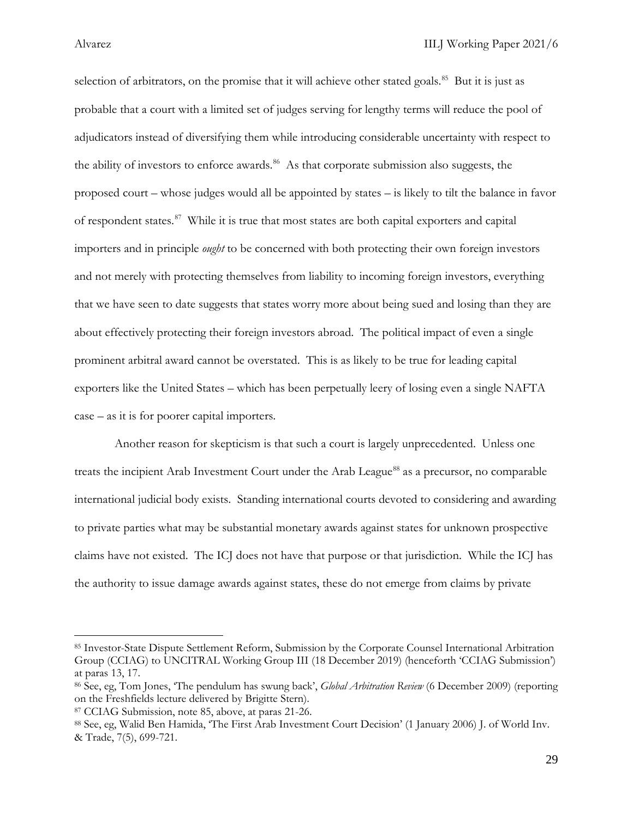selection of arbitrators, on the promise that it will achieve other stated goals.<sup>[85](#page-29-0)</sup> But it is just as probable that a court with a limited set of judges serving for lengthy terms will reduce the pool of adjudicators instead of diversifying them while introducing considerable uncertainty with respect to the ability of investors to enforce awards.<sup>86</sup> As that corporate submission also suggests, the proposed court – whose judges would all be appointed by states – is likely to tilt the balance in favor of respondent states.<sup>87</sup> While it is true that most states are both capital exporters and capital importers and in principle *ought* to be concerned with both protecting their own foreign investors and not merely with protecting themselves from liability to incoming foreign investors, everything that we have seen to date suggests that states worry more about being sued and losing than they are about effectively protecting their foreign investors abroad. The political impact of even a single prominent arbitral award cannot be overstated. This is as likely to be true for leading capital exporters like the United States – which has been perpetually leery of losing even a single NAFTA case – as it is for poorer capital importers.

Another reason for skepticism is that such a court is largely unprecedented. Unless one treats the incipient Arab Investment Court under the Arab League<sup>[88](#page-29-3)</sup> as a precursor, no comparable international judicial body exists. Standing international courts devoted to considering and awarding to private parties what may be substantial monetary awards against states for unknown prospective claims have not existed. The ICJ does not have that purpose or that jurisdiction. While the ICJ has the authority to issue damage awards against states, these do not emerge from claims by private

<span id="page-29-0"></span><sup>85</sup> Investor-State Dispute Settlement Reform, Submission by the Corporate Counsel International Arbitration Group (CCIAG) to UNCITRAL Working Group III (18 December 2019) (henceforth 'CCIAG Submission') at paras 13, 17.

<span id="page-29-1"></span><sup>86</sup> See, eg, Tom Jones, 'The pendulum has swung back', *Global Arbitration Review* (6 December 2009) (reporting on the Freshfields lecture delivered by Brigitte Stern).

<span id="page-29-2"></span><sup>87</sup> CCIAG Submission, note 85, above, at paras 21-26.

<span id="page-29-3"></span><sup>88</sup> See, eg, Walid Ben Hamida, 'The First Arab Investment Court Decision' (1 January 2006) J. of World Inv. & Trade, 7(5), 699-721.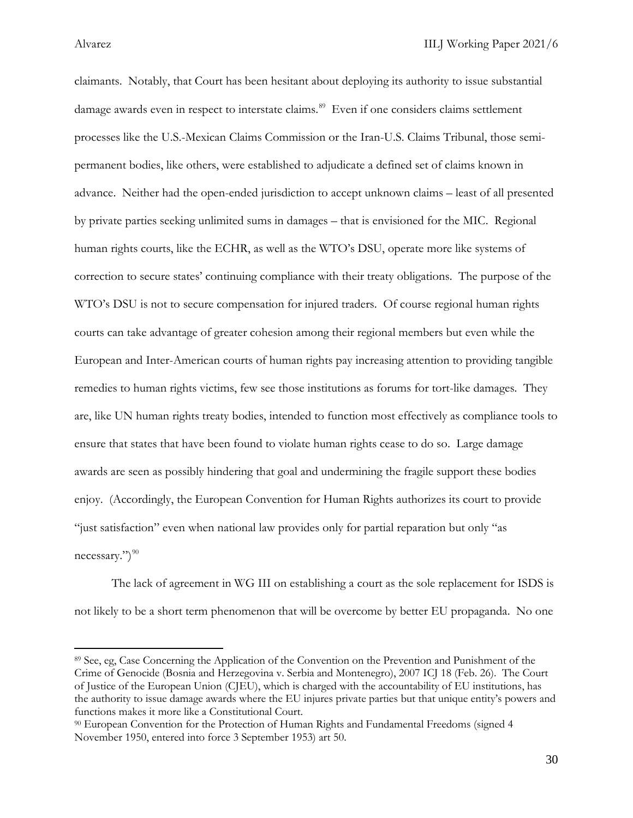claimants. Notably, that Court has been hesitant about deploying its authority to issue substantial damage awards even in respect to interstate claims. [89](#page-30-0) Even if one considers claims settlement processes like the U.S.-Mexican Claims Commission or the Iran-U.S. Claims Tribunal, those semipermanent bodies, like others, were established to adjudicate a defined set of claims known in advance. Neither had the open-ended jurisdiction to accept unknown claims – least of all presented by private parties seeking unlimited sums in damages – that is envisioned for the MIC. Regional human rights courts, like the ECHR, as well as the WTO's DSU, operate more like systems of correction to secure states' continuing compliance with their treaty obligations. The purpose of the WTO's DSU is not to secure compensation for injured traders. Of course regional human rights courts can take advantage of greater cohesion among their regional members but even while the European and Inter-American courts of human rights pay increasing attention to providing tangible remedies to human rights victims, few see those institutions as forums for tort-like damages. They are, like UN human rights treaty bodies, intended to function most effectively as compliance tools to ensure that states that have been found to violate human rights cease to do so. Large damage awards are seen as possibly hindering that goal and undermining the fragile support these bodies enjoy. (Accordingly, the European Convention for Human Rights authorizes its court to provide "just satisfaction" even when national law provides only for partial reparation but only "as necessary.")<sup>[90](#page-30-1)</sup>

The lack of agreement in WG III on establishing a court as the sole replacement for ISDS is not likely to be a short term phenomenon that will be overcome by better EU propaganda. No one

<span id="page-30-0"></span><sup>89</sup> See, eg, Case Concerning the Application of the Convention on the Prevention and Punishment of the Crime of Genocide (Bosnia and Herzegovina v. Serbia and Montenegro), 2007 ICJ 18 (Feb. 26). The Court of Justice of the European Union (CJEU), which is charged with the accountability of EU institutions, has the authority to issue damage awards where the EU injures private parties but that unique entity's powers and functions makes it more like a Constitutional Court.

<span id="page-30-1"></span><sup>90</sup> European Convention for the Protection of Human Rights and Fundamental Freedoms (signed 4 November 1950, entered into force 3 September 1953) art 50.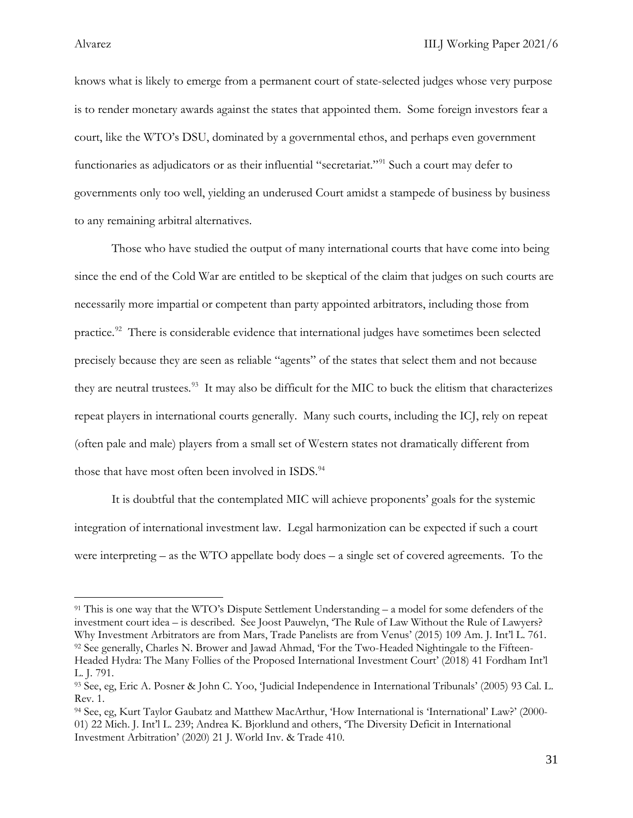knows what is likely to emerge from a permanent court of state-selected judges whose very purpose is to render monetary awards against the states that appointed them. Some foreign investors fear a court, like the WTO's DSU, dominated by a governmental ethos, and perhaps even government functionaries as adjudicators or as their influential "secretariat."<sup>[91](#page-31-0)</sup> Such a court may defer to governments only too well, yielding an underused Court amidst a stampede of business by business to any remaining arbitral alternatives.

Those who have studied the output of many international courts that have come into being since the end of the Cold War are entitled to be skeptical of the claim that judges on such courts are necessarily more impartial or competent than party appointed arbitrators, including those from practice.<sup>92</sup> There is considerable evidence that international judges have sometimes been selected precisely because they are seen as reliable "agents" of the states that select them and not because they are neutral trustees.<sup>93</sup> It may also be difficult for the MIC to buck the elitism that characterizes repeat players in international courts generally. Many such courts, including the ICJ, rely on repeat (often pale and male) players from a small set of Western states not dramatically different from those that have most often been involved in ISDS.<sup>[94](#page-31-3)</sup>

It is doubtful that the contemplated MIC will achieve proponents' goals for the systemic integration of international investment law. Legal harmonization can be expected if such a court were interpreting – as the WTO appellate body does – a single set of covered agreements. To the

<span id="page-31-1"></span><span id="page-31-0"></span><sup>91</sup> This is one way that the WTO's Dispute Settlement Understanding – a model for some defenders of the investment court idea – is described. See Joost Pauwelyn, 'The Rule of Law Without the Rule of Lawyers? Why Investment Arbitrators are from Mars, Trade Panelists are from Venus' (2015) 109 Am. J. Int'l L. 761. <sup>92</sup> See generally, Charles N. Brower and Jawad Ahmad, 'For the Two-Headed Nightingale to the Fifteen-Headed Hydra: The Many Follies of the Proposed International Investment Court' (2018) 41 Fordham Int'l L. J. 791.

<span id="page-31-2"></span><sup>93</sup> See, eg, Eric A. Posner & John C. Yoo, 'Judicial Independence in International Tribunals' (2005) 93 Cal. L. Rev. 1.

<span id="page-31-3"></span><sup>94</sup> See, eg, Kurt Taylor Gaubatz and Matthew MacArthur, 'How International is 'International' Law?' (2000- 01) 22 Mich. J. Int'l L. 239; Andrea K. Bjorklund and others, 'The Diversity Deficit in International Investment Arbitration' (2020) 21 J. World Inv. & Trade 410.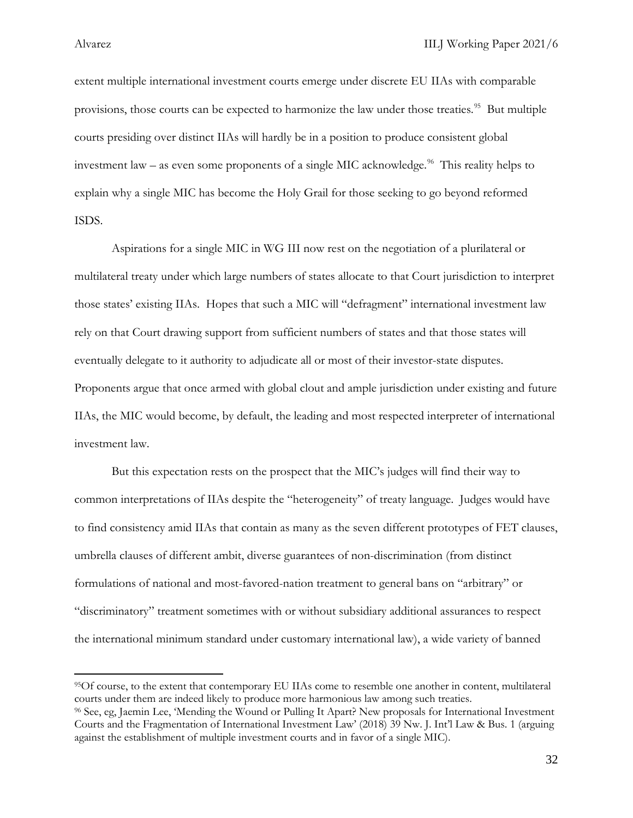l

extent multiple international investment courts emerge under discrete EU IIAs with comparable provisions, those courts can be expected to harmonize the law under those treaties.<sup>[95](#page-32-0)</sup> But multiple courts presiding over distinct IIAs will hardly be in a position to produce consistent global investment law – as even some proponents of a single MIC acknowledge.<sup>96</sup> This reality helps to explain why a single MIC has become the Holy Grail for those seeking to go beyond reformed ISDS.

Aspirations for a single MIC in WG III now rest on the negotiation of a plurilateral or multilateral treaty under which large numbers of states allocate to that Court jurisdiction to interpret those states' existing IIAs. Hopes that such a MIC will "defragment" international investment law rely on that Court drawing support from sufficient numbers of states and that those states will eventually delegate to it authority to adjudicate all or most of their investor-state disputes. Proponents argue that once armed with global clout and ample jurisdiction under existing and future IIAs, the MIC would become, by default, the leading and most respected interpreter of international investment law.

But this expectation rests on the prospect that the MIC's judges will find their way to common interpretations of IIAs despite the "heterogeneity" of treaty language. Judges would have to find consistency amid IIAs that contain as many as the seven different prototypes of FET clauses, umbrella clauses of different ambit, diverse guarantees of non-discrimination (from distinct formulations of national and most-favored-nation treatment to general bans on "arbitrary" or "discriminatory" treatment sometimes with or without subsidiary additional assurances to respect the international minimum standard under customary international law), a wide variety of banned

<span id="page-32-0"></span>95Of course, to the extent that contemporary EU IIAs come to resemble one another in content, multilateral courts under them are indeed likely to produce more harmonious law among such treaties.

<span id="page-32-1"></span><sup>96</sup> See, eg, Jaemin Lee, 'Mending the Wound or Pulling It Apart? New proposals for International Investment Courts and the Fragmentation of International Investment Law' (2018) 39 Nw. J. Int'l Law & Bus. 1 (arguing against the establishment of multiple investment courts and in favor of a single MIC).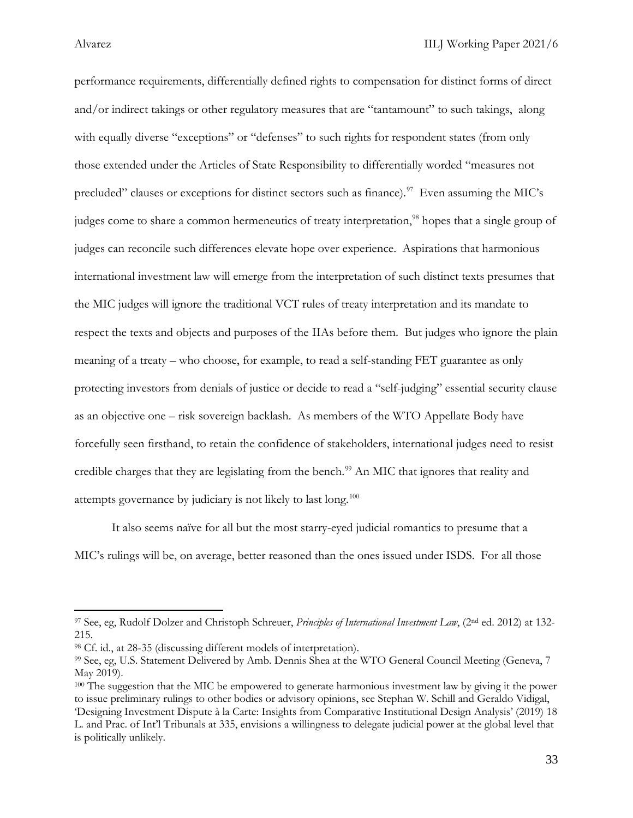performance requirements, differentially defined rights to compensation for distinct forms of direct and/or indirect takings or other regulatory measures that are "tantamount" to such takings, along with equally diverse "exceptions" or "defenses" to such rights for respondent states (from only those extended under the Articles of State Responsibility to differentially worded "measures not precluded" clauses or exceptions for distinct sectors such as finance).<sup>97</sup> Even assuming the MIC's judges come to share a common hermeneutics of treaty interpretation,<sup>[98](#page-33-1)</sup> hopes that a single group of judges can reconcile such differences elevate hope over experience. Aspirations that harmonious international investment law will emerge from the interpretation of such distinct texts presumes that the MIC judges will ignore the traditional VCT rules of treaty interpretation and its mandate to respect the texts and objects and purposes of the IIAs before them. But judges who ignore the plain meaning of a treaty – who choose, for example, to read a self-standing FET guarantee as only protecting investors from denials of justice or decide to read a "self-judging" essential security clause as an objective one – risk sovereign backlash. As members of the WTO Appellate Body have forcefully seen firsthand, to retain the confidence of stakeholders, international judges need to resist credible charges that they are legislating from the bench.<sup>[99](#page-33-2)</sup> An MIC that ignores that reality and attempts governance by judiciary is not likely to last long.<sup>[100](#page-33-3)</sup>

It also seems naïve for all but the most starry-eyed judicial romantics to presume that a MIC's rulings will be, on average, better reasoned than the ones issued under ISDS. For all those

<span id="page-33-0"></span><sup>97</sup> See, eg, Rudolf Dolzer and Christoph Schreuer, *Principles of International Investment Law*, (2nd ed. 2012) at 132- 215.

<span id="page-33-1"></span><sup>98</sup> Cf. id., at 28-35 (discussing different models of interpretation).

<span id="page-33-2"></span><sup>99</sup> See, eg, U.S. Statement Delivered by Amb. Dennis Shea at the WTO General Council Meeting (Geneva, 7 May 2019).

<span id="page-33-3"></span><sup>&</sup>lt;sup>100</sup> The suggestion that the MIC be empowered to generate harmonious investment law by giving it the power to issue preliminary rulings to other bodies or advisory opinions, see Stephan W. Schill and Geraldo Vidigal, 'Designing Investment Dispute à la Carte: Insights from Comparative Institutional Design Analysis' (2019) 18 L. and Prac. of Int'l Tribunals at 335, envisions a willingness to delegate judicial power at the global level that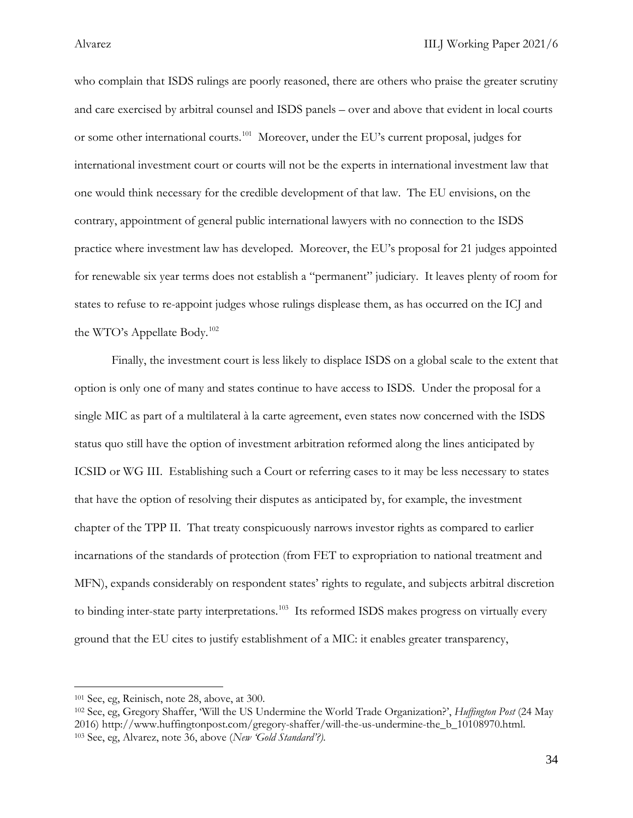who complain that ISDS rulings are poorly reasoned, there are others who praise the greater scrutiny and care exercised by arbitral counsel and ISDS panels – over and above that evident in local courts or some other international courts.<sup>101</sup> Moreover, under the EU's current proposal, judges for international investment court or courts will not be the experts in international investment law that one would think necessary for the credible development of that law. The EU envisions, on the contrary, appointment of general public international lawyers with no connection to the ISDS practice where investment law has developed. Moreover, the EU's proposal for 21 judges appointed for renewable six year terms does not establish a "permanent" judiciary. It leaves plenty of room for states to refuse to re-appoint judges whose rulings displease them, as has occurred on the ICJ and the WTO's Appellate Body.<sup>[102](#page-34-1)</sup>

Finally, the investment court is less likely to displace ISDS on a global scale to the extent that option is only one of many and states continue to have access to ISDS. Under the proposal for a single MIC as part of a multilateral à la carte agreement, even states now concerned with the ISDS status quo still have the option of investment arbitration reformed along the lines anticipated by ICSID or WG III. Establishing such a Court or referring cases to it may be less necessary to states that have the option of resolving their disputes as anticipated by, for example, the investment chapter of the TPP II. That treaty conspicuously narrows investor rights as compared to earlier incarnations of the standards of protection (from FET to expropriation to national treatment and MFN), expands considerably on respondent states' rights to regulate, and subjects arbitral discretion to binding inter-state party interpretations.<sup>[103](#page-34-2)</sup> Its reformed ISDS makes progress on virtually every ground that the EU cites to justify establishment of a MIC: it enables greater transparency,

<span id="page-34-0"></span><sup>101</sup> See, eg, Reinisch, note 28, above, at 300.

<span id="page-34-2"></span><span id="page-34-1"></span><sup>102</sup> See, eg, Gregory Shaffer, 'Will the US Undermine the World Trade Organization?', *Huffington Post* (24 May 2016) http://www.huffingtonpost.com/gregory-shaffer/will-the-us-undermine-the\_b\_10108970.html. 103 See, eg, Alvarez, note 36, above (*New 'Gold Standard'?).*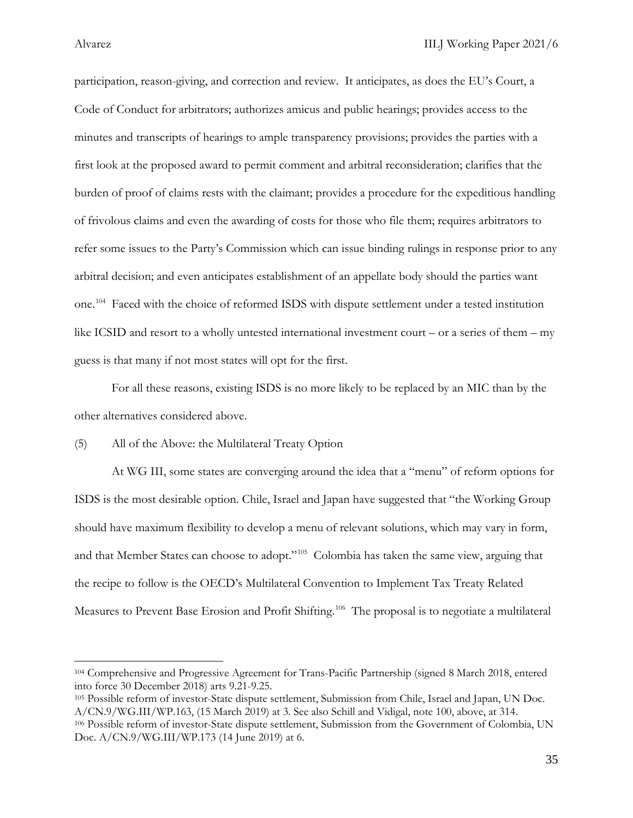participation, reason-giving, and correction and review. It anticipates, as does the EU's Court, a Code of Conduct for arbitrators; authorizes amicus and public hearings; provides access to the minutes and transcripts of hearings to ample transparency provisions; provides the parties with a first look at the proposed award to permit comment and arbitral reconsideration; clarifies that the burden of proof of claims rests with the claimant; provides a procedure for the expeditious handling of frivolous claims and even the awarding of costs for those who file them; requires arbitrators to refer some issues to the Party's Commission which can issue binding rulings in response prior to any arbitral decision; and even anticipates establishment of an appellate body should the parties want one.<sup>[104](#page-35-0)</sup> Faced with the choice of reformed ISDS with dispute settlement under a tested institution like ICSID and resort to a wholly untested international investment court – or a series of them – my guess is that many if not most states will opt for the first.

For all these reasons, existing ISDS is no more likely to be replaced by an MIC than by the other alternatives considered above.

### (5) All of the Above: the Multilateral Treaty Option

At WG III, some states are converging around the idea that a "menu" of reform options for ISDS is the most desirable option. Chile, Israel and Japan have suggested that "the Working Group should have maximum flexibility to develop a menu of relevant solutions, which may vary in form, and that Member States can choose to adopt."<sup>[105](#page-35-1)</sup> Colombia has taken the same view, arguing that the recipe to follow is the OECD's Multilateral Convention to Implement Tax Treaty Related Measures to Prevent Base Erosion and Profit Shifting.<sup>[106](#page-35-2)</sup> The proposal is to negotiate a multilateral

<span id="page-35-0"></span><sup>104</sup> Comprehensive and Progressive Agreement for Trans-Pacific Partnership (signed 8 March 2018, entered into force 30 December 2018) arts 9.21-9.25.

<span id="page-35-2"></span><span id="page-35-1"></span><sup>105</sup> Possible reform of investor-State dispute settlement, Submission from Chile, Israel and Japan, UN Doc. A/CN.9/WG.III/WP.163, (15 March 2019) at 3. See also Schill and Vidigal, note 100, above, at 314. <sup>106</sup> Possible reform of investor-State dispute settlement, Submission from the Government of Colombia, UN Doc. A/CN.9/WG.III/WP.173 (14 June 2019) at 6.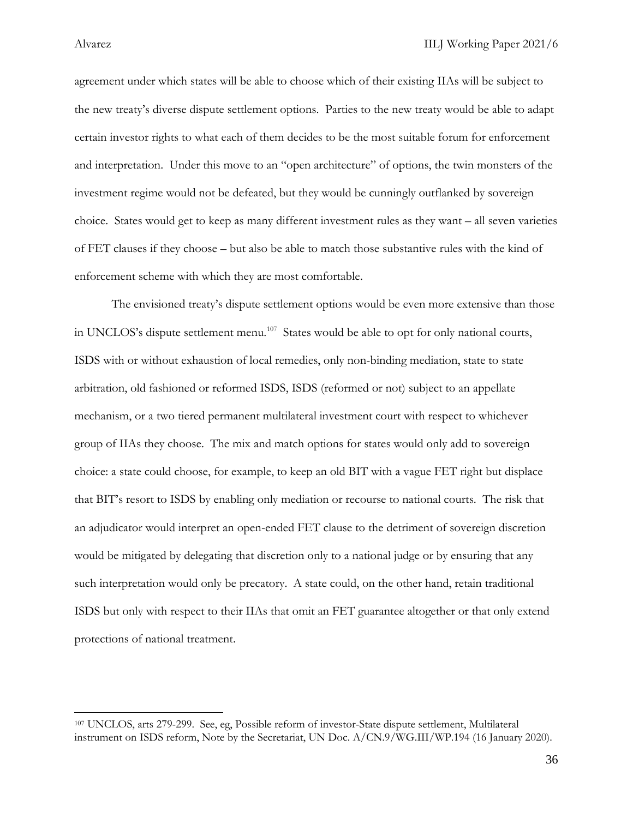agreement under which states will be able to choose which of their existing IIAs will be subject to the new treaty's diverse dispute settlement options. Parties to the new treaty would be able to adapt certain investor rights to what each of them decides to be the most suitable forum for enforcement and interpretation. Under this move to an "open architecture" of options, the twin monsters of the investment regime would not be defeated, but they would be cunningly outflanked by sovereign choice. States would get to keep as many different investment rules as they want – all seven varieties of FET clauses if they choose – but also be able to match those substantive rules with the kind of enforcement scheme with which they are most comfortable.

The envisioned treaty's dispute settlement options would be even more extensive than those in UNCLOS's dispute settlement menu.<sup>107</sup> States would be able to opt for only national courts, ISDS with or without exhaustion of local remedies, only non-binding mediation, state to state arbitration, old fashioned or reformed ISDS, ISDS (reformed or not) subject to an appellate mechanism, or a two tiered permanent multilateral investment court with respect to whichever group of IIAs they choose. The mix and match options for states would only add to sovereign choice: a state could choose, for example, to keep an old BIT with a vague FET right but displace that BIT's resort to ISDS by enabling only mediation or recourse to national courts. The risk that an adjudicator would interpret an open-ended FET clause to the detriment of sovereign discretion would be mitigated by delegating that discretion only to a national judge or by ensuring that any such interpretation would only be precatory. A state could, on the other hand, retain traditional ISDS but only with respect to their IIAs that omit an FET guarantee altogether or that only extend protections of national treatment.

<span id="page-36-0"></span><sup>107</sup> UNCLOS, arts 279-299. See, eg, Possible reform of investor-State dispute settlement, Multilateral instrument on ISDS reform, Note by the Secretariat, UN Doc. A/CN.9/WG.III/WP.194 (16 January 2020).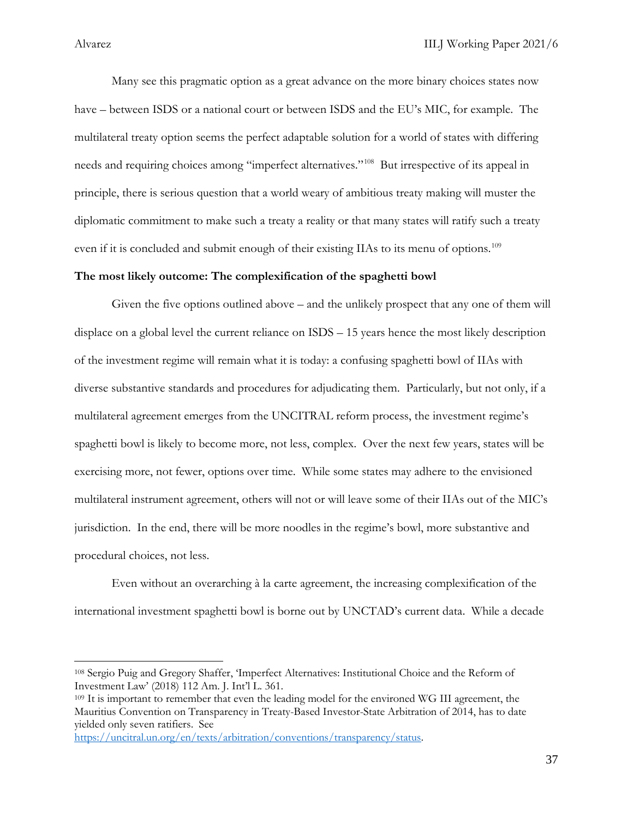Many see this pragmatic option as a great advance on the more binary choices states now have – between ISDS or a national court or between ISDS and the EU's MIC, for example. The multilateral treaty option seems the perfect adaptable solution for a world of states with differing needs and requiring choices among "imperfect alternatives."<sup>108</sup> But irrespective of its appeal in principle, there is serious question that a world weary of ambitious treaty making will muster the diplomatic commitment to make such a treaty a reality or that many states will ratify such a treaty even if it is concluded and submit enough of their existing IIAs to its menu of options.<sup>[109](#page-37-1)</sup>

### **The most likely outcome: The complexification of the spaghetti bowl**

Given the five options outlined above – and the unlikely prospect that any one of them will displace on a global level the current reliance on ISDS – 15 years hence the most likely description of the investment regime will remain what it is today: a confusing spaghetti bowl of IIAs with diverse substantive standards and procedures for adjudicating them. Particularly, but not only, if a multilateral agreement emerges from the UNCITRAL reform process, the investment regime's spaghetti bowl is likely to become more, not less, complex. Over the next few years, states will be exercising more, not fewer, options over time. While some states may adhere to the envisioned multilateral instrument agreement, others will not or will leave some of their IIAs out of the MIC's jurisdiction. In the end, there will be more noodles in the regime's bowl, more substantive and procedural choices, not less.

Even without an overarching à la carte agreement, the increasing complexification of the international investment spaghetti bowl is borne out by UNCTAD's current data. While a decade

<span id="page-37-0"></span><sup>108</sup> Sergio Puig and Gregory Shaffer, 'Imperfect Alternatives: Institutional Choice and the Reform of Investment Law' (2018) 112 Am. J. Int'l L. 361.

<span id="page-37-1"></span><sup>109</sup> It is important to remember that even the leading model for the environed WG III agreement, the Mauritius Convention on Transparency in Treaty-Based Investor-State Arbitration of 2014, has to date yielded only seven ratifiers. See

[https://uncitral.un.org/en/texts/arbitration/conventions/transparency/status.](https://uncitral.un.org/en/texts/arbitration/conventions/transparency/status)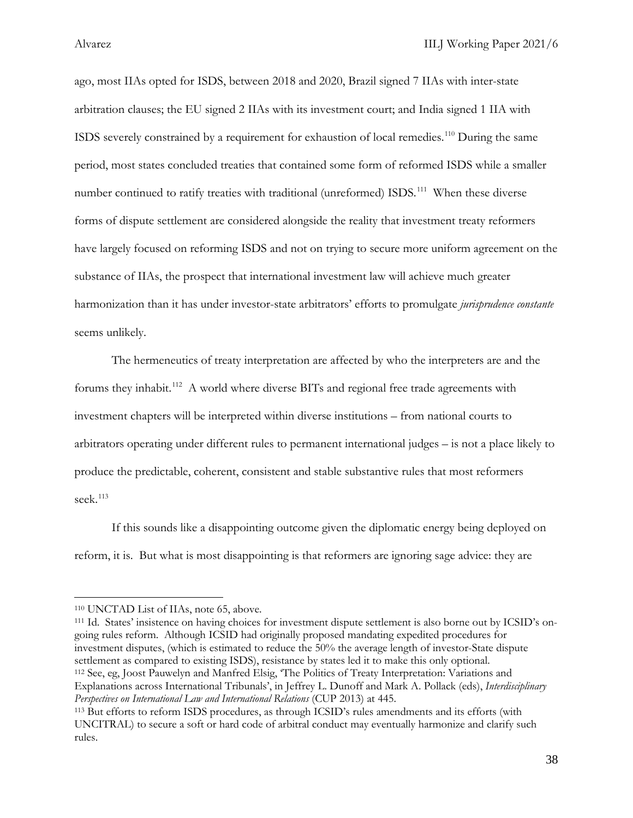ago, most IIAs opted for ISDS, between 2018 and 2020, Brazil signed 7 IIAs with inter-state arbitration clauses; the EU signed 2 IIAs with its investment court; and India signed 1 IIA with ISDS severely constrained by a requirement for exhaustion of local remedies.[110](#page-38-0) During the same period, most states concluded treaties that contained some form of reformed ISDS while a smaller number continued to ratify treaties with traditional (unreformed) ISDS.<sup>[111](#page-38-1)</sup> When these diverse forms of dispute settlement are considered alongside the reality that investment treaty reformers have largely focused on reforming ISDS and not on trying to secure more uniform agreement on the substance of IIAs, the prospect that international investment law will achieve much greater harmonization than it has under investor-state arbitrators' efforts to promulgate *jurisprudence constante* seems unlikely.

The hermeneutics of treaty interpretation are affected by who the interpreters are and the forums they inhabit.<sup>[112](#page-38-2)</sup> A world where diverse BITs and regional free trade agreements with investment chapters will be interpreted within diverse institutions – from national courts to arbitrators operating under different rules to permanent international judges – is not a place likely to produce the predictable, coherent, consistent and stable substantive rules that most reformers seek.<sup>[113](#page-38-3)</sup>

If this sounds like a disappointing outcome given the diplomatic energy being deployed on reform, it is. But what is most disappointing is that reformers are ignoring sage advice: they are

<span id="page-38-0"></span><sup>110</sup> UNCTAD List of IIAs, note 65, above.

<span id="page-38-1"></span><sup>111</sup> Id. States' insistence on having choices for investment dispute settlement is also borne out by ICSID's ongoing rules reform. Although ICSID had originally proposed mandating expedited procedures for investment disputes, (which is estimated to reduce the 50% the average length of investor-State dispute settlement as compared to existing ISDS), resistance by states led it to make this only optional.<br><sup>112</sup> See, eg, Joost Pauwelyn and Manfred Elsig, 'The Politics of Treaty Interpretation: Variations and Explanations across International Tribunals', in Jeffrey L. Dunoff and Mark A. Pollack (eds), *Interdisciplinary Perspectives on International Law and International Relations* (CUP 2013) at 445.

<span id="page-38-3"></span><span id="page-38-2"></span><sup>113</sup> But efforts to reform ISDS procedures, as through ICSID's rules amendments and its efforts (with UNCITRAL) to secure a soft or hard code of arbitral conduct may eventually harmonize and clarify such rules.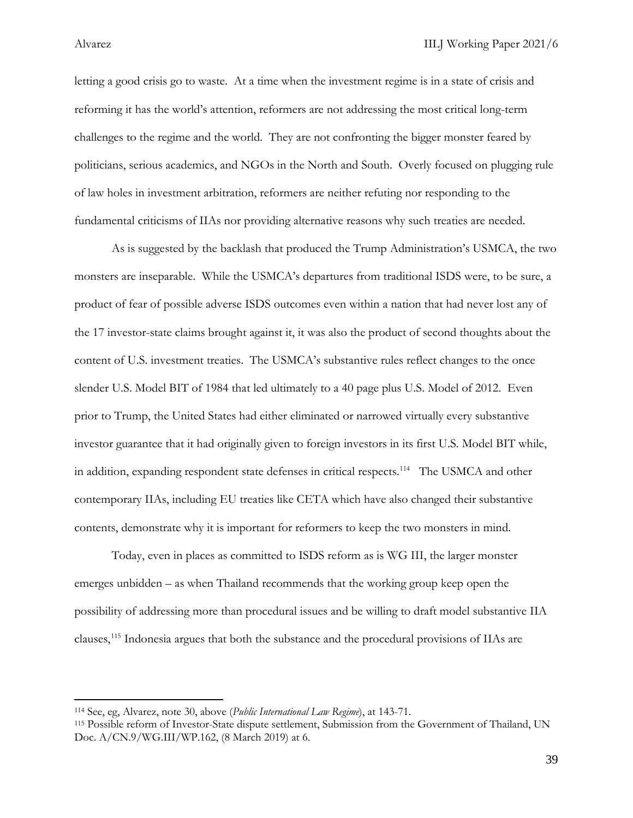letting a good crisis go to waste. At a time when the investment regime is in a state of crisis and reforming it has the world's attention, reformers are not addressing the most critical long-term challenges to the regime and the world. They are not confronting the bigger monster feared by politicians, serious academics, and NGOs in the North and South. Overly focused on plugging rule of law holes in investment arbitration, reformers are neither refuting nor responding to the fundamental criticisms of IIAs nor providing alternative reasons why such treaties are needed.

As is suggested by the backlash that produced the Trump Administration's USMCA, the two monsters are inseparable. While the USMCA's departures from traditional ISDS were, to be sure, a product of fear of possible adverse ISDS outcomes even within a nation that had never lost any of the 17 investor-state claims brought against it, it was also the product of second thoughts about the content of U.S. investment treaties. The USMCA's substantive rules reflect changes to the once slender U.S. Model BIT of 1984 that led ultimately to a 40 page plus U.S. Model of 2012. Even prior to Trump, the United States had either eliminated or narrowed virtually every substantive investor guarantee that it had originally given to foreign investors in its first U.S. Model BIT while, in addition, expanding respondent state defenses in critical respects.<sup>114</sup> The USMCA and other contemporary IIAs, including EU treaties like CETA which have also changed their substantive contents, demonstrate why it is important for reformers to keep the two monsters in mind.

Today, even in places as committed to ISDS reform as is WG III, the larger monster emerges unbidden – as when Thailand recommends that the working group keep open the possibility of addressing more than procedural issues and be willing to draft model substantive IIA clauses,[115](#page-39-1) Indonesia argues that both the substance and the procedural provisions of IIAs are

<span id="page-39-0"></span><sup>114</sup> See, eg, Alvarez, note 30, above (*Public International Law Regime*), at 143-71.

<span id="page-39-1"></span><sup>115</sup> Possible reform of Investor-State dispute settlement, Submission from the Government of Thailand, UN Doc. A/CN.9/WG.III/WP.162, (8 March 2019) at 6.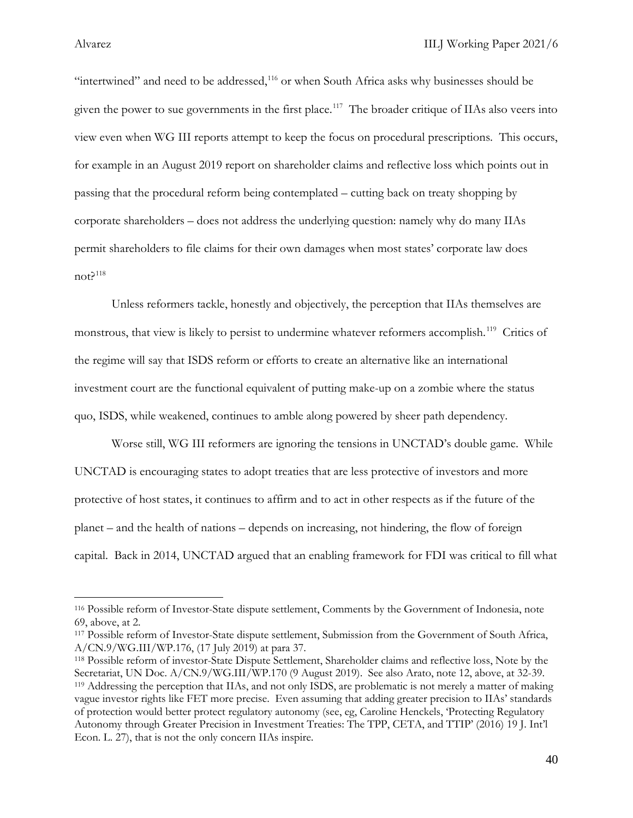"intertwined" and need to be addressed, $116$  or when South Africa asks why businesses should be given the power to sue governments in the first place.<sup>117</sup> The broader critique of IIAs also veers into view even when WG III reports attempt to keep the focus on procedural prescriptions. This occurs, for example in an August 2019 report on shareholder claims and reflective loss which points out in passing that the procedural reform being contemplated – cutting back on treaty shopping by corporate shareholders – does not address the underlying question: namely why do many IIAs permit shareholders to file claims for their own damages when most states' corporate law does  $not?$ <sup>[118](#page-40-2)</sup>

Unless reformers tackle, honestly and objectively, the perception that IIAs themselves are monstrous, that view is likely to persist to undermine whatever reformers accomplish.<sup>[119](#page-40-3)</sup> Critics of the regime will say that ISDS reform or efforts to create an alternative like an international investment court are the functional equivalent of putting make-up on a zombie where the status quo, ISDS, while weakened, continues to amble along powered by sheer path dependency.

Worse still, WG III reformers are ignoring the tensions in UNCTAD's double game. While UNCTAD is encouraging states to adopt treaties that are less protective of investors and more protective of host states, it continues to affirm and to act in other respects as if the future of the planet – and the health of nations – depends on increasing, not hindering, the flow of foreign capital. Back in 2014, UNCTAD argued that an enabling framework for FDI was critical to fill what

<span id="page-40-0"></span><sup>116</sup> Possible reform of Investor-State dispute settlement, Comments by the Government of Indonesia, note 69, above, at 2. 117 Possible reform of Investor-State dispute settlement, Submission from the Government of South Africa,

<span id="page-40-1"></span>A/CN.9/WG.III/WP.176, (17 July 2019) at para 37.

<span id="page-40-3"></span><span id="page-40-2"></span><sup>118</sup> Possible reform of investor-State Dispute Settlement, Shareholder claims and reflective loss, Note by the Secretariat, UN Doc. A/CN.9/WG.III/WP.170 (9 August 2019). See also Arato, note 12, above, at 32-39. <sup>119</sup> Addressing the perception that IIAs, and not only ISDS, are problematic is not merely a matter of making vague investor rights like FET more precise. Even assuming that adding greater precision to IIAs' standards of protection would better protect regulatory autonomy (see, eg, Caroline Henckels, 'Protecting Regulatory Autonomy through Greater Precision in Investment Treaties: The TPP, CETA, and TTIP' (2016) 19 J. Int'l Econ. L. 27), that is not the only concern IIAs inspire.